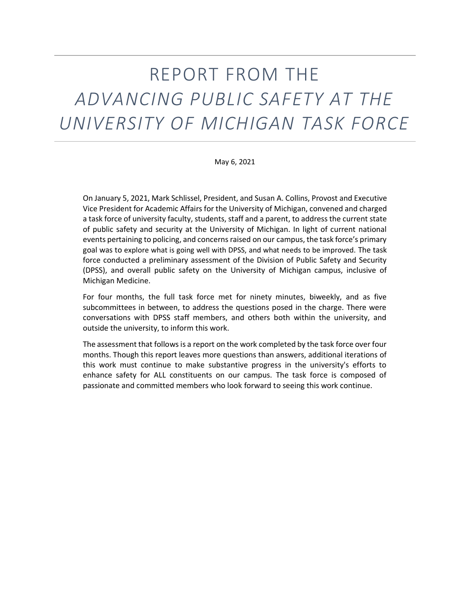# REPORT FROM THE *ADVANCING PUBLIC SAFETY AT THE UNIVERSITY OF MICHIGAN TASK FORCE*

May 6, 2021

On January 5, 2021, Mark Schlissel, President, and Susan A. Collins, Provost and Executive Vice President for Academic Affairs for the University of Michigan, convened and charged a task force of university faculty, students, staff and a parent, to address the current state of public safety and security at the University of Michigan. In light of current national events pertaining to policing, and concerns raised on our campus, the task force's primary goal was to explore what is going well with DPSS, and what needs to be improved. The task force conducted a preliminary assessment of the Division of Public Safety and Security (DPSS), and overall public safety on the University of Michigan campus, inclusive of Michigan Medicine.

For four months, the full task force met for ninety minutes, biweekly, and as five subcommittees in between, to address the questions posed in the charge. There were conversations with DPSS staff members, and others both within the university, and outside the university, to inform this work.

The assessment that follows is a report on the work completed by the task force over four months. Though this report leaves more questions than answers, additional iterations of this work must continue to make substantive progress in the university's efforts to enhance safety for ALL constituents on our campus. The task force is composed of passionate and committed members who look forward to seeing this work continue.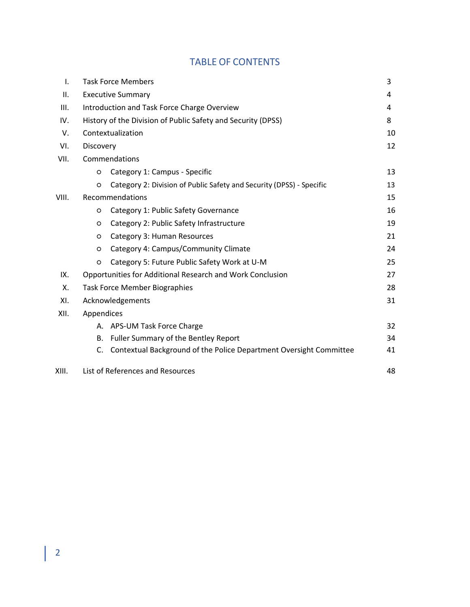## TABLE OF CONTENTS

| I.    |                                             | <b>Task Force Members</b>                                            | 3  |
|-------|---------------------------------------------|----------------------------------------------------------------------|----|
| Ш.    |                                             | <b>Executive Summary</b>                                             | 4  |
| III.  | Introduction and Task Force Charge Overview |                                                                      |    |
| IV.   |                                             | History of the Division of Public Safety and Security (DPSS)         | 8  |
| V.    |                                             | Contextualization                                                    | 10 |
| VI.   | Discovery                                   |                                                                      |    |
| VII.  | Commendations                               |                                                                      |    |
|       | $\circ$                                     | Category 1: Campus - Specific                                        | 13 |
|       | $\circ$                                     | Category 2: Division of Public Safety and Security (DPSS) - Specific | 13 |
| VIII. | Recommendations                             |                                                                      |    |
|       | O                                           | Category 1: Public Safety Governance                                 | 16 |
|       | O                                           | Category 2: Public Safety Infrastructure                             | 19 |
|       | O                                           | Category 3: Human Resources                                          | 21 |
|       | O                                           | Category 4: Campus/Community Climate                                 | 24 |
|       | O                                           | Category 5: Future Public Safety Work at U-M                         | 25 |
| IX.   |                                             | Opportunities for Additional Research and Work Conclusion            | 27 |
| Х.    |                                             | <b>Task Force Member Biographies</b>                                 | 28 |
| XI.   |                                             | Acknowledgements                                                     | 31 |
| XII.  | Appendices                                  |                                                                      |    |
|       |                                             | A. APS-UM Task Force Charge                                          | 32 |
|       | B.                                          | Fuller Summary of the Bentley Report                                 | 34 |
|       | C.                                          | Contextual Background of the Police Department Oversight Committee   | 41 |
| XIII. |                                             | List of References and Resources                                     | 48 |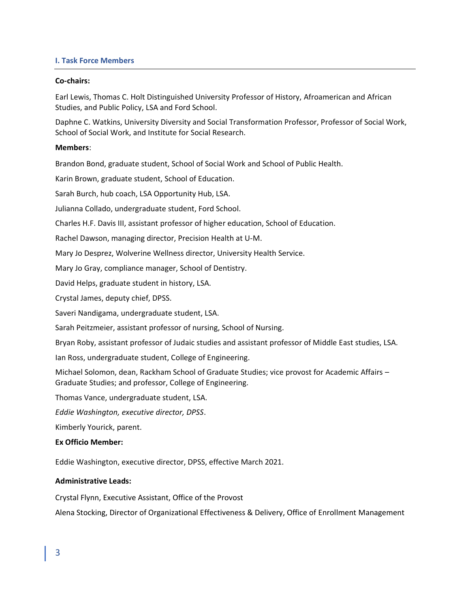## **I. Task Force Members**

## **Co-chairs:**

Earl Lewis, Thomas C. Holt Distinguished University Professor of History, Afroamerican and African Studies, and Public Policy, LSA and Ford School.

Daphne C. Watkins, University Diversity and Social Transformation Professor, Professor of Social Work, School of Social Work, and Institute for Social Research.

## **Members**:

Brandon Bond, graduate student, School of Social Work and School of Public Health.

Karin Brown, graduate student, School of Education.

Sarah Burch, hub coach, LSA Opportunity Hub, LSA.

Julianna Collado, undergraduate student, Ford School.

Charles H.F. Davis III, assistant professor of higher education, School of Education.

Rachel Dawson, managing director, Precision Health at U-M.

Mary Jo Desprez, Wolverine Wellness director, University Health Service.

Mary Jo Gray, compliance manager, School of Dentistry.

David Helps, graduate student in history, LSA.

Crystal James, deputy chief, DPSS.

Saveri Nandigama, undergraduate student, LSA.

Sarah Peitzmeier, assistant professor of nursing, School of Nursing.

Bryan Roby, assistant professor of Judaic studies and assistant professor of Middle East studies, LSA.

Ian Ross, undergraduate student, College of Engineering.

Michael Solomon, dean, Rackham School of Graduate Studies; vice provost for Academic Affairs – Graduate Studies; and professor, College of Engineering.

Thomas Vance, undergraduate student, LSA.

*Eddie Washington, executive director, DPSS*.

Kimberly Yourick, parent.

## **Ex Officio Member:**

Eddie Washington, executive director, DPSS, effective March 2021.

## **Administrative Leads:**

Crystal Flynn, Executive Assistant, Office of the Provost

Alena Stocking, Director of Organizational Effectiveness & Delivery, Office of Enrollment Management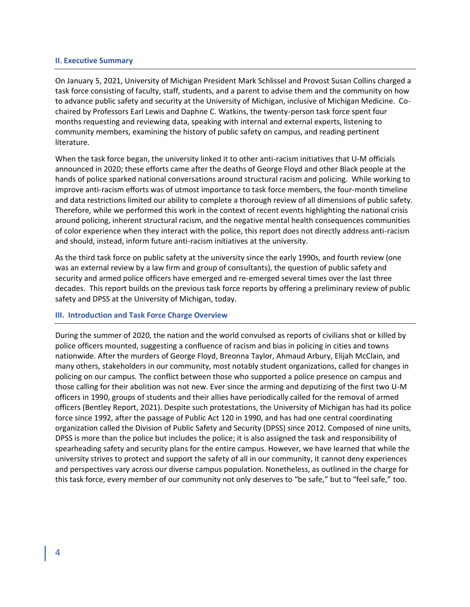#### **II**. **Executive Summary**

On January 5, 2021, University of Michigan President Mark Schlissel and Provost Susan Collins charged a task force consisting of faculty, staff, students, and a parent to advise them and the community on how to advance public safety and security at the University of Michigan, inclusive of Michigan Medicine. Cochaired by Professors Earl Lewis and Daphne C. Watkins, the twenty-person task force spent four months requesting and reviewing data, speaking with internal and external experts, listening to community members, examining the history of public safety on campus, and reading pertinent literature.

When the task force began, the university linked it to other anti-racism initiatives that U-M officials announced in 2020; these efforts came after the deaths of George Floyd and other Black people at the hands of police sparked national conversations around structural racism and policing. While working to improve anti-racism efforts was of utmost importance to task force members, the four-month timeline and data restrictions limited our ability to complete a thorough review of all dimensions of public safety. Therefore, while we performed this work in the context of recent events highlighting the national crisis around policing, inherent structural racism, and the negative mental health consequences communities of color experience when they interact with the police, this report does not directly address anti-racism and should, instead, inform future anti-racism initiatives at the university.

As the third task force on public safety at the university since the early 1990s, and fourth review (one was an external review by a law firm and group of consultants), the question of public safety and security and armed police officers have emerged and re-emerged several times over the last three decades. This report builds on the previous task force reports by offering a preliminary review of public safety and DPSS at the University of Michigan, today.

## **III. Introduction and Task Force Charge Overview**

During the summer of 2020, the nation and the world convulsed as reports of civilians shot or killed by police officers mounted, suggesting a confluence of racism and bias in policing in cities and towns nationwide. After the murders of George Floyd, Breonna Taylor, Ahmaud Arbury, Elijah McClain, and many others, stakeholders in our community, most notably student organizations, called for changes in policing on our campus. The conflict between those who supported a police presence on campus and those calling for their abolition was not new. Ever since the arming and deputizing of the first two U-M officers in 1990, groups of students and their allies have periodically called for the removal of armed officers (Bentley Report, 2021). Despite such protestations, the University of Michigan has had its police force since 1992, after the passage of Public Act 120 in 1990, and has had one central coordinating organization called the Division of Public Safety and Security (DPSS) since 2012. Composed of nine units, DPSS is more than the police but includes the police; it is also assigned the task and responsibility of spearheading safety and security plans for the entire campus. However, we have learned that while the university strives to protect and support the safety of all in our community, it cannot deny experiences and perspectives vary across our diverse campus population. Nonetheless, as outlined in the charge for this task force, every member of our community not only deserves to "be safe," but to "feel safe," too.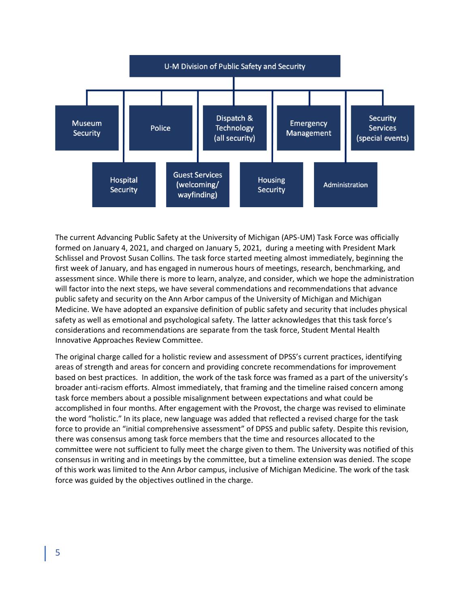

The current Advancing Public Safety at the University of Michigan (APS-UM) Task Force was officially formed on January 4, 2021, and charged on January 5, 2021, during a meeting with President Mark Schlissel and Provost Susan Collins. The task force started meeting almost immediately, beginning the first week of January, and has engaged in numerous hours of meetings, research, benchmarking, and assessment since. While there is more to learn, analyze, and consider, which we hope the administration will factor into the next steps, we have several commendations and recommendations that advance public safety and security on the Ann Arbor campus of the University of Michigan and Michigan Medicine. We have adopted an expansive definition of public safety and security that includes physical safety as well as emotional and psychological safety. The latter acknowledges that this task force's considerations and recommendations are separate from the task force, Student Mental Health Innovative Approaches Review Committee.

The original charge called for a holistic review and assessment of DPSS's current practices, identifying areas of strength and areas for concern and providing concrete recommendations for improvement based on best practices. In addition, the work of the task force was framed as a part of the university's broader anti-racism efforts. Almost immediately, that framing and the timeline raised concern among task force members about a possible misalignment between expectations and what could be accomplished in four months. After engagement with the Provost, the charge was revised to eliminate the word "holistic." In its place, new language was added that reflected a revised charge for the task force to provide an "initial comprehensive assessment" of DPSS and public safety. Despite this revision, there was consensus among task force members that the time and resources allocated to the committee were not sufficient to fully meet the charge given to them. The University was notified of this consensus in writing and in meetings by the committee, but a timeline extension was denied. The scope of this work was limited to the Ann Arbor campus, inclusive of Michigan Medicine. The work of the task force was guided by the objectives outlined in the charge.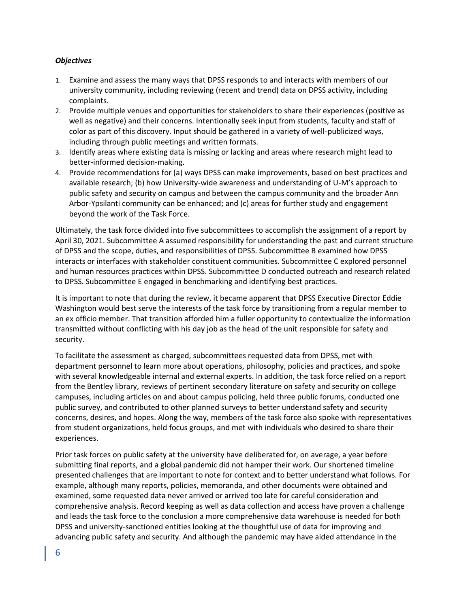## *Objectives*

- 1. Examine and assess the many ways that DPSS responds to and interacts with members of our university community, including reviewing (recent and trend) data on DPSS activity, including complaints.
- 2. Provide multiple venues and opportunities for stakeholders to share their experiences (positive as well as negative) and their concerns. Intentionally seek input from students, faculty and staff of color as part of this discovery. Input should be gathered in a variety of well-publicized ways, including through public meetings and written formats.
- 3. Identify areas where existing data is missing or lacking and areas where research might lead to better-informed decision-making.
- 4. Provide recommendations for (a) ways DPSS can make improvements, based on best practices and available research; (b) how University-wide awareness and understanding of U-M's approach to public safety and security on campus and between the campus community and the broader Ann Arbor-Ypsilanti community can be enhanced; and (c) areas for further study and engagement beyond the work of the Task Force.

Ultimately, the task force divided into five subcommittees to accomplish the assignment of a report by April 30, 2021. Subcommittee A assumed responsibility for understanding the past and current structure of DPSS and the scope, duties, and responsibilities of DPSS. Subcommittee B examined how DPSS interacts or interfaces with stakeholder constituent communities. Subcommittee C explored personnel and human resources practices within DPSS. Subcommittee D conducted outreach and research related to DPSS. Subcommittee E engaged in benchmarking and identifying best practices.

It is important to note that during the review, it became apparent that DPSS Executive Director Eddie Washington would best serve the interests of the task force by transitioning from a regular member to an ex officio member. That transition afforded him a fuller opportunity to contextualize the information transmitted without conflicting with his day job as the head of the unit responsible for safety and security.

To facilitate the assessment as charged, subcommittees requested data from DPSS, met with department personnel to learn more about operations, philosophy, policies and practices, and spoke with several knowledgeable internal and external experts. In addition, the task force relied on a report from the Bentley library, reviews of pertinent secondary literature on safety and security on college campuses, including articles on and about campus policing, held three public forums, conducted one public survey, and contributed to other planned surveys to better understand safety and security concerns, desires, and hopes. Along the way, members of the task force also spoke with representatives from student organizations, held focus groups, and met with individuals who desired to share their experiences.

Prior task forces on public safety at the university have deliberated for, on average, a year before submitting final reports, and a global pandemic did not hamper their work. Our shortened timeline presented challenges that are important to note for context and to better understand what follows. For example, although many reports, policies, memoranda, and other documents were obtained and examined, some requested data never arrived or arrived too late for careful consideration and comprehensive analysis. Record keeping as well as data collection and access have proven a challenge and leads the task force to the conclusion a more comprehensive data warehouse is needed for both DPSS and university-sanctioned entities looking at the thoughtful use of data for improving and advancing public safety and security. And although the pandemic may have aided attendance in the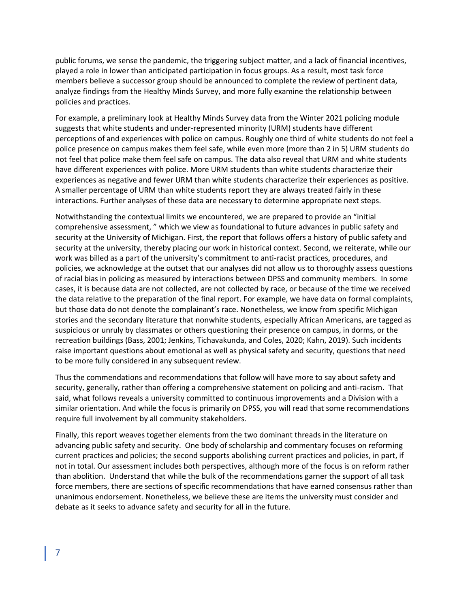public forums, we sense the pandemic, the triggering subject matter, and a lack of financial incentives, played a role in lower than anticipated participation in focus groups. As a result, most task force members believe a successor group should be announced to complete the review of pertinent data, analyze findings from the Healthy Minds Survey, and more fully examine the relationship between policies and practices.

For example, a preliminary look at Healthy Minds Survey data from the Winter 2021 policing module suggests that white students and under-represented minority (URM) students have different perceptions of and experiences with police on campus. Roughly one third of white students do not feel a police presence on campus makes them feel safe, while even more (more than 2 in 5) URM students do not feel that police make them feel safe on campus. The data also reveal that URM and white students have different experiences with police. More URM students than white students characterize their experiences as negative and fewer URM than white students characterize their experiences as positive. A smaller percentage of URM than white students report they are always treated fairly in these interactions. Further analyses of these data are necessary to determine appropriate next steps.

Notwithstanding the contextual limits we encountered, we are prepared to provide an "initial comprehensive assessment, " which we view as foundational to future advances in public safety and security at the University of Michigan. First, the report that follows offers a history of public safety and security at the university, thereby placing our work in historical context. Second, we reiterate, while our work was billed as a part of the university's commitment to anti-racist practices, procedures, and policies, we acknowledge at the outset that our analyses did not allow us to thoroughly assess questions of racial bias in policing as measured by interactions between DPSS and community members. In some cases, it is because data are not collected, are not collected by race, or because of the time we received the data relative to the preparation of the final report. For example, we have data on formal complaints, but those data do not denote the complainant's race. Nonetheless, we know from specific Michigan stories and the secondary literature that nonwhite students, especially African Americans, are tagged as suspicious or unruly by classmates or others questioning their presence on campus, in dorms, or the recreation buildings (Bass, 2001; Jenkins, Tichavakunda, and Coles, 2020; Kahn, 2019). Such incidents raise important questions about emotional as well as physical safety and security, questions that need to be more fully considered in any subsequent review.

Thus the commendations and recommendations that follow will have more to say about safety and security, generally, rather than offering a comprehensive statement on policing and anti-racism. That said, what follows reveals a university committed to continuous improvements and a Division with a similar orientation. And while the focus is primarily on DPSS, you will read that some recommendations require full involvement by all community stakeholders.

Finally, this report weaves together elements from the two dominant threads in the literature on advancing public safety and security. One body of scholarship and commentary focuses on reforming current practices and policies; the second supports abolishing current practices and policies, in part, if not in total. Our assessment includes both perspectives, although more of the focus is on reform rather than abolition. Understand that while the bulk of the recommendations garner the support of all task force members, there are sections of specific recommendations that have earned consensus rather than unanimous endorsement. Nonetheless, we believe these are items the university must consider and debate as it seeks to advance safety and security for all in the future.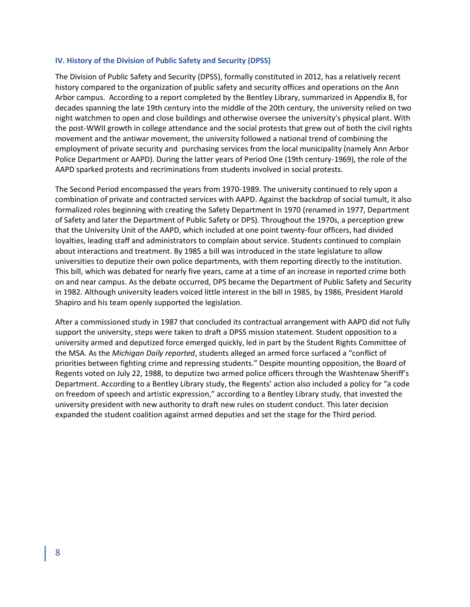#### **IV. History of the Division of Public Safety and Security (DPSS)**

The Division of Public Safety and Security (DPSS), formally constituted in 2012, has a relatively recent history compared to the organization of public safety and security offices and operations on the Ann Arbor campus. According to a report completed by the Bentley Library, summarized in Appendix B, for decades spanning the late 19th century into the middle of the 20th century, the university relied on two night watchmen to open and close buildings and otherwise oversee the university's physical plant. With the post-WWII growth in college attendance and the social protests that grew out of both the civil rights movement and the antiwar movement, the university followed a national trend of combining the employment of private security and purchasing services from the local municipality (namely Ann Arbor Police Department or AAPD). During the latter years of Period One (19th century-1969), the role of the AAPD sparked protests and recriminations from students involved in social protests.

The Second Period encompassed the years from 1970-1989. The university continued to rely upon a combination of private and contracted services with AAPD. Against the backdrop of social tumult, it also formalized roles beginning with creating the Safety Department In 1970 (renamed in 1977, Department of Safety and later the Department of Public Safety or DPS). Throughout the 1970s, a perception grew that the University Unit of the AAPD, which included at one point twenty-four officers, had divided loyalties, leading staff and administrators to complain about service. Students continued to complain about interactions and treatment. By 1985 a bill was introduced in the state legislature to allow universities to deputize their own police departments, with them reporting directly to the institution. This bill, which was debated for nearly five years, came at a time of an increase in reported crime both on and near campus. As the debate occurred, DPS became the Department of Public Safety and Security in 1982. Although university leaders voiced little interest in the bill in 1985, by 1986, President Harold Shapiro and his team openly supported the legislation.

After a commissioned study in 1987 that concluded its contractual arrangement with AAPD did not fully support the university, steps were taken to draft a DPSS mission statement. Student opposition to a university armed and deputized force emerged quickly, led in part by the Student Rights Committee of the MSA. As the *Michigan Daily reported*, students alleged an armed force surfaced a "conflict of priorities between fighting crime and repressing students." Despite mounting opposition, the Board of Regents voted on July 22, 1988, to deputize two armed police officers through the Washtenaw Sheriff's Department. According to a Bentley Library study, the Regents' action also included a policy for "a code on freedom of speech and artistic expression," according to a Bentley Library study, that invested the university president with new authority to draft new rules on student conduct. This later decision expanded the student coalition against armed deputies and set the stage for the Third period.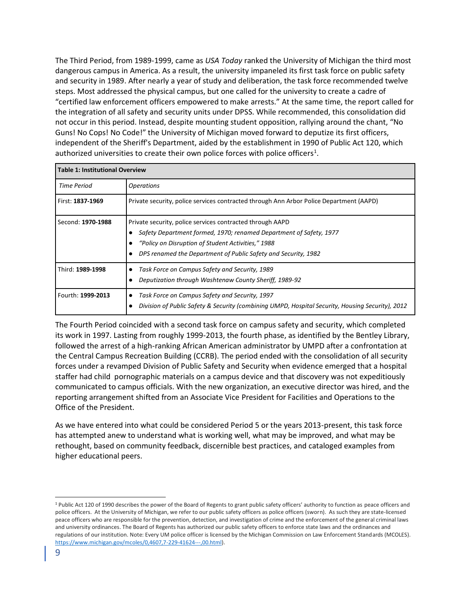The Third Period, from 1989-1999, came as *USA Today* ranked the University of Michigan the third most dangerous campus in America. As a result, the university impaneled its first task force on public safety and security in 1989. After nearly a year of study and deliberation, the task force recommended twelve steps. Most addressed the physical campus, but one called for the university to create a cadre of "certified law enforcement officers empowered to make arrests." At the same time, the report called for the integration of all safety and security units under DPSS. While recommended, this consolidation did not occur in this period. Instead, despite mounting student opposition, rallying around the chant, "No Guns! No Cops! No Code!" the University of Michigan moved forward to deputize its first officers, independent of the Sheriff's Department, aided by the establishment in 1990 of Public Act 120, which authorized universities to create their own police forces with police officers<sup>1</sup>.

| <b>Table 1: Institutional Overview</b> |                                                                                                                                                                                                                                                         |  |
|----------------------------------------|---------------------------------------------------------------------------------------------------------------------------------------------------------------------------------------------------------------------------------------------------------|--|
| Time Period                            | <i><b>Operations</b></i>                                                                                                                                                                                                                                |  |
| First: 1837-1969                       | Private security, police services contracted through Ann Arbor Police Department (AAPD)                                                                                                                                                                 |  |
| Second: 1970-1988                      | Private security, police services contracted through AAPD<br>Safety Department formed, 1970; renamed Department of Safety, 1977<br>"Policy on Disruption of Student Activities," 1988<br>DPS renamed the Department of Public Safety and Security, 1982 |  |
| Third: 1989-1998                       | Task Force on Campus Safety and Security, 1989<br>Deputization through Washtenaw County Sheriff, 1989-92                                                                                                                                                |  |
| Fourth: 1999-2013                      | Task Force on Campus Safety and Security, 1997<br>Division of Public Safety & Security (combining UMPD, Hospital Security, Housing Security), 2012                                                                                                      |  |

The Fourth Period coincided with a second task force on campus safety and security, which completed its work in 1997. Lasting from roughly 1999-2013, the fourth phase, as identified by the Bentley Library, followed the arrest of a high-ranking African American administrator by UMPD after a confrontation at the Central Campus Recreation Building (CCRB). The period ended with the consolidation of all security forces under a revamped Division of Public Safety and Security when evidence emerged that a hospital staffer had child pornographic materials on a campus device and that discovery was not expeditiously communicated to campus officials. With the new organization, an executive director was hired, and the reporting arrangement shifted from an Associate Vice President for Facilities and Operations to the Office of the President.

As we have entered into what could be considered Period 5 or the years 2013-present, this task force has attempted anew to understand what is working well, what may be improved, and what may be rethought, based on community feedback, discernible best practices, and cataloged examples from higher educational peers.

<sup>&</sup>lt;sup>1</sup> Public Act 120 of 1990 describes the power of the Board of Regents to grant public safety officers' authority to function as peace officers and police officers. At the University of Michigan, we refer to our public safety officers as police officers (sworn). As such they are state-licensed peace officers who are responsible for the prevention, detection, and investigation of crime and the enforcement of the general criminal laws and university ordinances. The Board of Regents has authorized our public safety officers to enforce state laws and the ordinances and regulations of our institution. Note: Every UM police officer is licensed by the Michigan Commission on Law Enforcement Standards (MCOLES). [https://www.michigan.gov/mcoles/0,4607,7-229-41624---,00.html\)](https://www.michigan.gov/mcoles/0,4607,7-229-41624---,00.html).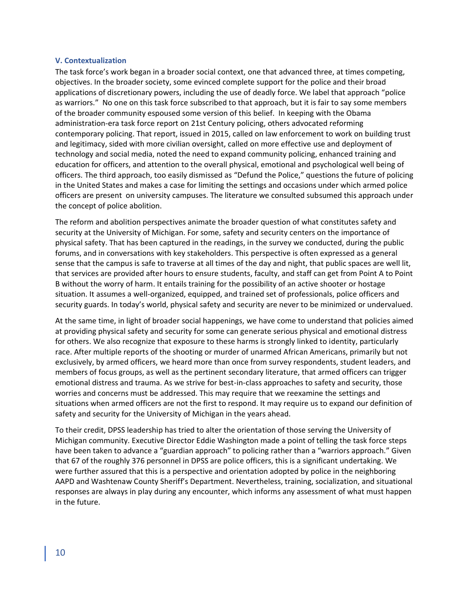## **V. Contextualization**

The task force's work began in a broader social context, one that advanced three, at times competing, objectives. In the broader society, some evinced complete support for the police and their broad applications of discretionary powers, including the use of deadly force. We label that approach "police as warriors." No one on this task force subscribed to that approach, but it is fair to say some members of the broader community espoused some version of this belief. In keeping with the Obama administration-era task force report on 21st Century policing, others advocated reforming contemporary policing. That report, issued in 2015, called on law enforcement to work on building trust and legitimacy, sided with more civilian oversight, called on more effective use and deployment of technology and social media, noted the need to expand community policing, enhanced training and education for officers, and attention to the overall physical, emotional and psychological well being of officers. The third approach, too easily dismissed as "Defund the Police," questions the future of policing in the United States and makes a case for limiting the settings and occasions under which armed police officers are present on university campuses. The literature we consulted subsumed this approach under the concept of police abolition.

The reform and abolition perspectives animate the broader question of what constitutes safety and security at the University of Michigan. For some, safety and security centers on the importance of physical safety. That has been captured in the readings, in the survey we conducted, during the public forums, and in conversations with key stakeholders. This perspective is often expressed as a general sense that the campus is safe to traverse at all times of the day and night, that public spaces are well lit, that services are provided after hours to ensure students, faculty, and staff can get from Point A to Point B without the worry of harm. It entails training for the possibility of an active shooter or hostage situation. It assumes a well-organized, equipped, and trained set of professionals, police officers and security guards. In today's world, physical safety and security are never to be minimized or undervalued.

At the same time, in light of broader social happenings, we have come to understand that policies aimed at providing physical safety and security for some can generate serious physical and emotional distress for others. We also recognize that exposure to these harms is strongly linked to identity, particularly race. After multiple reports of the shooting or murder of unarmed African Americans, primarily but not exclusively, by armed officers, we heard more than once from survey respondents, student leaders, and members of focus groups, as well as the pertinent secondary literature, that armed officers can trigger emotional distress and trauma. As we strive for best-in-class approaches to safety and security, those worries and concerns must be addressed. This may require that we reexamine the settings and situations when armed officers are not the first to respond. It may require us to expand our definition of safety and security for the University of Michigan in the years ahead.

To their credit, DPSS leadership has tried to alter the orientation of those serving the University of Michigan community. Executive Director Eddie Washington made a point of telling the task force steps have been taken to advance a "guardian approach" to policing rather than a "warriors approach." Given that 67 of the roughly 376 personnel in DPSS are police officers, this is a significant undertaking. We were further assured that this is a perspective and orientation adopted by police in the neighboring AAPD and Washtenaw County Sheriff's Department. Nevertheless, training, socialization, and situational responses are always in play during any encounter, which informs any assessment of what must happen in the future.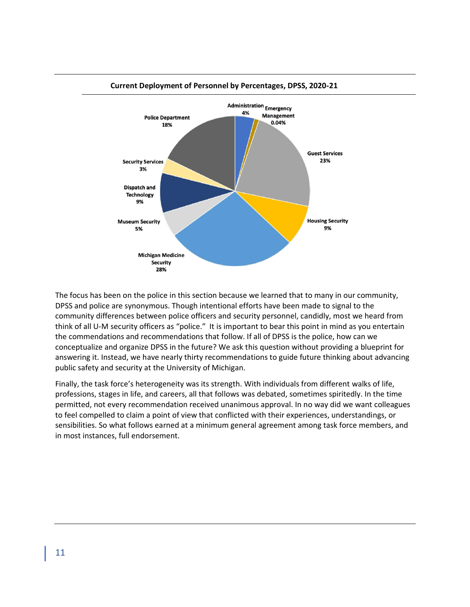

**Current Deployment of Personnel by Percentages, DPSS, 2020-21**

The focus has been on the police in this section because we learned that to many in our community, DPSS and police are synonymous. Though intentional efforts have been made to signal to the community differences between police officers and security personnel, candidly, most we heard from think of all U-M security officers as "police." It is important to bear this point in mind as you entertain the commendations and recommendations that follow. If all of DPSS is the police, how can we conceptualize and organize DPSS in the future? We ask this question without providing a blueprint for answering it. Instead, we have nearly thirty recommendations to guide future thinking about advancing public safety and security at the University of Michigan.

Finally, the task force's heterogeneity was its strength. With individuals from different walks of life, professions, stages in life, and careers, all that follows was debated, sometimes spiritedly. In the time permitted, not every recommendation received unanimous approval. In no way did we want colleagues to feel compelled to claim a point of view that conflicted with their experiences, understandings, or sensibilities. So what follows earned at a minimum general agreement among task force members, and in most instances, full endorsement.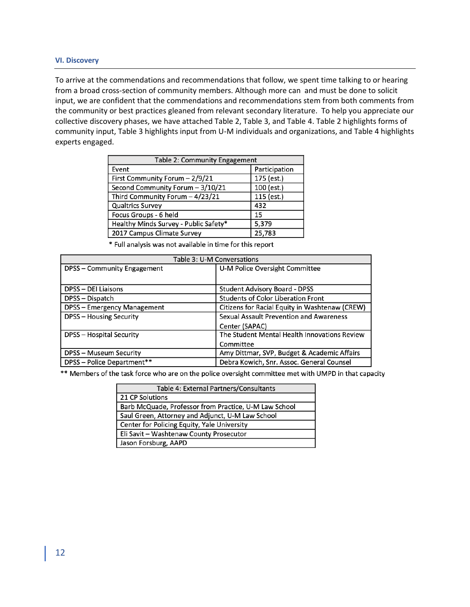#### **VI. Discovery**

To arrive at the commendations and recommendations that follow, we spent time talking to or hearing from a broad cross-section of community members. Although more can and must be done to solicit input, we are confident that the commendations and recommendations stem from both comments from the community or best practices gleaned from relevant secondary literature. To help you appreciate our collective discovery phases, we have attached Table 2, Table 3, and Table 4. Table 2 highlights forms of community input, Table 3 highlights input from U-M individuals and organizations, and Table 4 highlights experts engaged.

| Table 2: Community Engagement         |               |  |
|---------------------------------------|---------------|--|
| Event                                 | Participation |  |
| First Community Forum - 2/9/21        | 175 (est.)    |  |
| Second Community Forum - 3/10/21      | 100 (est.)    |  |
| Third Community Forum - 4/23/21       | 115 (est.)    |  |
| <b>Qualtrics Survey</b>               | 432           |  |
| Focus Groups - 6 held                 | 15            |  |
| Healthy Minds Survey - Public Safety* | 5,379         |  |
| 2017 Campus Climate Survey            | 25,783        |  |

\* Full analysis was not available in time for this report

| Table 3: U-M Conversations      |                                                |  |
|---------------------------------|------------------------------------------------|--|
| DPSS - Community Engagement     | U-M Police Oversight Committee                 |  |
|                                 |                                                |  |
| <b>DPSS - DEI Liaisons</b>      | <b>Student Advisory Board - DPSS</b>           |  |
| DPSS - Dispatch                 | <b>Students of Color Liberation Front</b>      |  |
| DPSS - Emergency Management     | Citizens for Racial Equity in Washtenaw (CREW) |  |
| <b>DPSS - Housing Security</b>  | Sexual Assault Prevention and Awareness        |  |
|                                 | Center (SAPAC)                                 |  |
| <b>DPSS - Hospital Security</b> | The Student Mental Health Innovations Review   |  |
|                                 | Committee                                      |  |
| <b>DPSS - Museum Security</b>   | Amy Dittmar, SVP, Budget & Academic Affairs    |  |
| DPSS - Police Department**      | Debra Kowich, Snr. Assoc. General Counsel      |  |

\*\* Members of the task force who are on the police oversight committee met with UMPD in that capacity

| Table 4: External Partners/Consultants                |
|-------------------------------------------------------|
| 21 CP Solutions                                       |
| Barb McQuade, Professor from Practice, U-M Law School |
| Saul Green, Attorney and Adjunct, U-M Law School      |
| Center for Policing Equity, Yale University           |
| Eli Savit - Washtenaw County Prosecutor               |
| Jason Forsburg, AAPD                                  |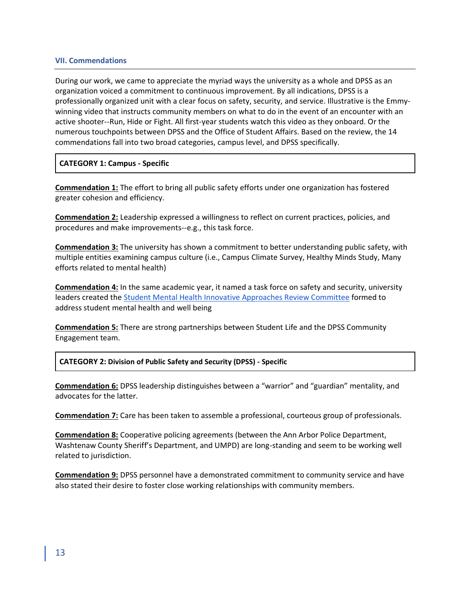#### **VII. Commendations**

During our work, we came to appreciate the myriad ways the university as a whole and DPSS as an organization voiced a commitment to continuous improvement. By all indications, DPSS is a professionally organized unit with a clear focus on safety, security, and service. Illustrative is the Emmywinning video that instructs community members on what to do in the event of an encounter with an active shooter--Run, Hide or Fight. All first-year students watch this video as they onboard. Or the numerous touchpoints between DPSS and the Office of Student Affairs. Based on the review, the 14 commendations fall into two broad categories, campus level, and DPSS specifically.

## **CATEGORY 1: Campus - Specific**

**Commendation 1:** The effort to bring all public safety efforts under one organization has fostered greater cohesion and efficiency.

**Commendation 2:** Leadership expressed a willingness to reflect on current practices, policies, and procedures and make improvements--e.g., this task force.

**Commendation 3:** The university has shown a commitment to better understanding public safety, with multiple entities examining campus culture (i.e., Campus Climate Survey, Healthy Minds Study, Many efforts related to mental health)

**Commendation 4:** In the same academic year, it named a task force on safety and security, university leaders created the [Student Mental Health Innovative Approaches Review Committee](https://record.umich.edu/articles/committee-seeks-input-on-improving-student-mental-health/) formed to address student mental health and well being

**Commendation 5:** There are strong partnerships between Student Life and the DPSS Community Engagement team.

**CATEGORY 2: Division of Public Safety and Security (DPSS) - Specific**

**Commendation 6:** DPSS leadership distinguishes between a "warrior" and "guardian" mentality, and advocates for the latter.

**Commendation 7:** Care has been taken to assemble a professional, courteous group of professionals.

**Commendation 8:** Cooperative policing agreements (between the Ann Arbor Police Department, Washtenaw County Sheriff's Department, and UMPD) are long-standing and seem to be working well related to jurisdiction.

**Commendation 9:** DPSS personnel have a demonstrated commitment to community service and have also stated their desire to foster close working relationships with community members.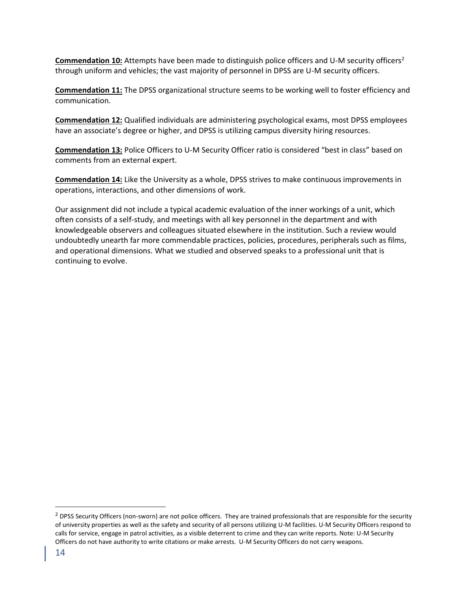**Commendation 10:** Attempts have been made to distinguish police officers and U-M security officers<sup>2</sup> through uniform and vehicles; the vast majority of personnel in DPSS are U-M security officers.

**Commendation 11:** The DPSS organizational structure seems to be working well to foster efficiency and communication.

**Commendation 12:** Qualified individuals are administering psychological exams, most DPSS employees have an associate's degree or higher, and DPSS is utilizing campus diversity hiring resources.

**Commendation 13:** Police Officers to U-M Security Officer ratio is considered "best in class" based on comments from an external expert.

**Commendation 14:** Like the University as a whole, DPSS strives to make continuous improvements in operations, interactions, and other dimensions of work.

Our assignment did not include a typical academic evaluation of the inner workings of a unit, which often consists of a self-study, and meetings with all key personnel in the department and with knowledgeable observers and colleagues situated elsewhere in the institution. Such a review would undoubtedly unearth far more commendable practices, policies, procedures, peripherals such as films, and operational dimensions. What we studied and observed speaks to a professional unit that is continuing to evolve.

 $<sup>2</sup>$  DPSS Security Officers (non-sworn) are not police officers. They are trained professionals that are responsible for the security</sup> of university properties as well as the safety and security of all persons utilizing U-M facilities. U-M Security Officers respond to calls for service, engage in patrol activities, as a visible deterrent to crime and they can write reports. Note: U-M Security Officers do not have authority to write citations or make arrests. U-M Security Officers do not carry weapons.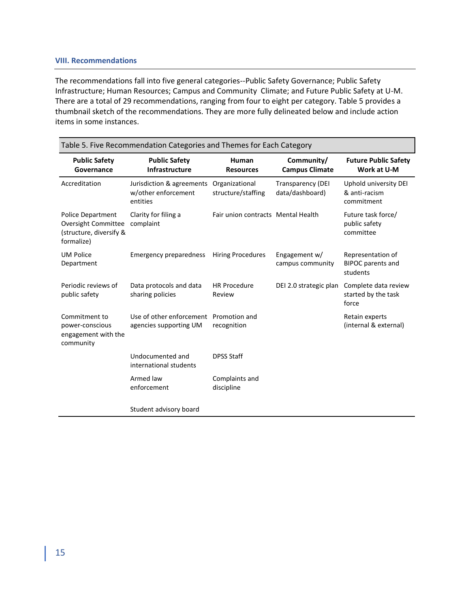#### **VIII. Recommendations**

The recommendations fall into five general categories--Public Safety Governance; Public Safety Infrastructure; Human Resources; Campus and Community Climate; and Future Public Safety at U-M. There are a total of 29 recommendations, ranging from four to eight per category. Table 5 provides a thumbnail sketch of the recommendations. They are more fully delineated below and include action items in some instances.

| Table 5. Five Recommendation Categories and Themes for Each Category                     |                                                              |                                      |                                             |                                                           |
|------------------------------------------------------------------------------------------|--------------------------------------------------------------|--------------------------------------|---------------------------------------------|-----------------------------------------------------------|
| <b>Public Safety</b><br>Governance                                                       | <b>Public Safety</b><br>Infrastructure                       | Human<br><b>Resources</b>            | Community/<br><b>Campus Climate</b>         | <b>Future Public Safety</b><br>Work at U-M                |
| Accreditation                                                                            | Jurisdiction & agreements<br>w/other enforcement<br>entities | Organizational<br>structure/staffing | <b>Transparency (DEI</b><br>data/dashboard) | Uphold university DEI<br>& anti-racism<br>commitment      |
| <b>Police Department</b><br>Oversight Committee<br>(structure, diversify &<br>formalize) | Clarity for filing a<br>complaint                            | Fair union contracts Mental Health   |                                             | Future task force/<br>public safety<br>committee          |
| <b>UM Police</b><br>Department                                                           | <b>Emergency preparedness</b>                                | <b>Hiring Procedures</b>             | Engagement w/<br>campus community           | Representation of<br><b>BIPOC</b> parents and<br>students |
| Periodic reviews of<br>public safety                                                     | Data protocols and data<br>sharing policies                  | <b>HR Procedure</b><br>Review        | DEI 2.0 strategic plan                      | Complete data review<br>started by the task<br>force      |
| Commitment to<br>power-conscious<br>engagement with the<br>community                     | Use of other enforcement<br>agencies supporting UM           | Promotion and<br>recognition         |                                             | Retain experts<br>(internal & external)                   |
|                                                                                          | Undocumented and<br>international students                   | <b>DPSS Staff</b>                    |                                             |                                                           |
|                                                                                          | Armed law<br>enforcement                                     | Complaints and<br>discipline         |                                             |                                                           |
|                                                                                          | Student advisory board                                       |                                      |                                             |                                                           |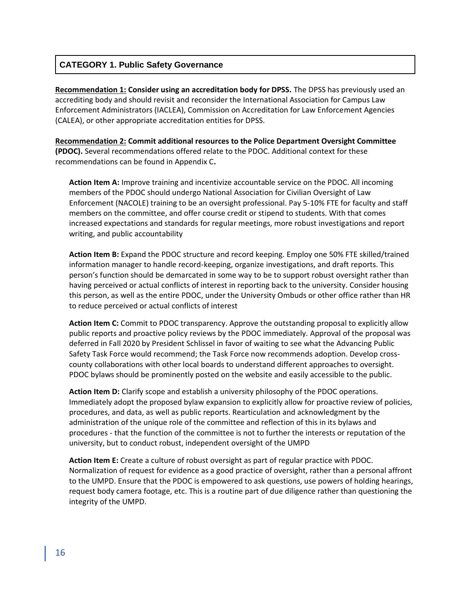## **CATEGORY 1. Public Safety Governance**

**Recommendation 1: Consider using an accreditation body for DPSS.** The DPSS has previously used an accrediting body and should revisit and reconsider the International Association for Campus Law Enforcement Administrators (IACLEA), Commission on Accreditation for Law Enforcement Agencies (CALEA), or other appropriate accreditation entities for DPSS.

**Recommendation 2: Commit additional resources to the Police Department Oversight Committee (PDOC).** Several recommendations offered relate to the PDOC. Additional context for these recommendations can be found in Appendix C**.** 

**Action Item A:** Improve training and incentivize accountable service on the PDOC. All incoming members of the PDOC should undergo National Association for Civilian Oversight of Law Enforcement (NACOLE) training to be an oversight professional. Pay 5-10% FTE for faculty and staff members on the committee, and offer course credit or stipend to students. With that comes increased expectations and standards for regular meetings, more robust investigations and report writing, and public accountability

**Action Item B:** Expand the PDOC structure and record keeping. Employ one 50% FTE skilled/trained information manager to handle record-keeping, organize investigations, and draft reports. This person's function should be demarcated in some way to be to support robust oversight rather than having perceived or actual conflicts of interest in reporting back to the university. Consider housing this person, as well as the entire PDOC, under the University Ombuds or other office rather than HR to reduce perceived or actual conflicts of interest

**Action Item C:** Commit to PDOC transparency. Approve the outstanding proposal to explicitly allow public reports and proactive policy reviews by the PDOC immediately. Approval of the proposal was deferred in Fall 2020 by President Schlissel in favor of waiting to see what the Advancing Public Safety Task Force would recommend; the Task Force now recommends adoption. Develop crosscounty collaborations with other local boards to understand different approaches to oversight. PDOC bylaws should be prominently posted on the website and easily accessible to the public.

**Action Item D:** Clarify scope and establish a university philosophy of the PDOC operations. Immediately adopt the proposed bylaw expansion to explicitly allow for proactive review of policies, procedures, and data, as well as public reports. Rearticulation and acknowledgment by the administration of the unique role of the committee and reflection of this in its bylaws and procedures - that the function of the committee is not to further the interests or reputation of the university, but to conduct robust, independent oversight of the UMPD

**Action Item E:** Create a culture of robust oversight as part of regular practice with PDOC. Normalization of request for evidence as a good practice of oversight, rather than a personal affront to the UMPD. Ensure that the PDOC is empowered to ask questions, use powers of holding hearings, request body camera footage, etc. This is a routine part of due diligence rather than questioning the integrity of the UMPD.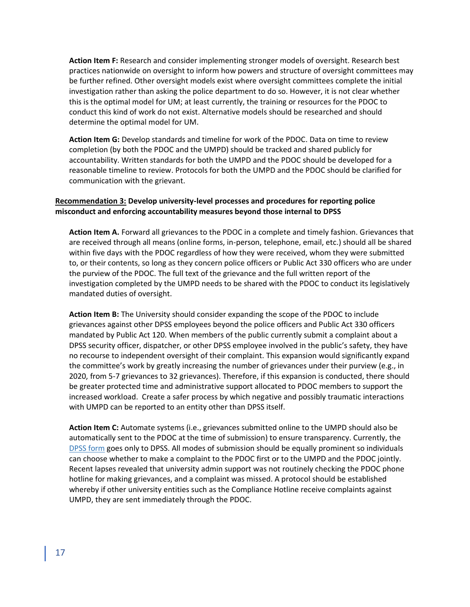**Action Item F:** Research and consider implementing stronger models of oversight. Research best practices nationwide on oversight to inform how powers and structure of oversight committees may be further refined. Other oversight models exist where oversight committees complete the initial investigation rather than asking the police department to do so. However, it is not clear whether this is the optimal model for UM; at least currently, the training or resources for the PDOC to conduct this kind of work do not exist. Alternative models should be researched and should determine the optimal model for UM.

**Action Item G:** Develop standards and timeline for work of the PDOC. Data on time to review completion (by both the PDOC and the UMPD) should be tracked and shared publicly for accountability. Written standards for both the UMPD and the PDOC should be developed for a reasonable timeline to review. Protocols for both the UMPD and the PDOC should be clarified for communication with the grievant.

## **Recommendation 3: Develop university-level processes and procedures for reporting police misconduct and enforcing accountability measures beyond those internal to DPSS**

**Action Item A.** Forward all grievances to the PDOC in a complete and timely fashion. Grievances that are received through all means (online forms, in-person, telephone, email, etc.) should all be shared within five days with the PDOC regardless of how they were received, whom they were submitted to, or their contents, so long as they concern police officers or Public Act 330 officers who are under the purview of the PDOC. The full text of the grievance and the full written report of the investigation completed by the UMPD needs to be shared with the PDOC to conduct its legislatively mandated duties of oversight.

**Action Item B:** The University should consider expanding the scope of the PDOC to include grievances against other DPSS employees beyond the police officers and Public Act 330 officers mandated by Public Act 120. When members of the public currently submit a complaint about a DPSS security officer, dispatcher, or other DPSS employee involved in the public's safety, they have no recourse to independent oversight of their complaint. This expansion would significantly expand the committee's work by greatly increasing the number of grievances under their purview (e.g., in 2020, from 5-7 grievances to 32 grievances). Therefore, if this expansion is conducted, there should be greater protected time and administrative support allocated to PDOC members to support the increased workload. Create a safer process by which negative and possibly traumatic interactions with UMPD can be reported to an entity other than DPSS itself.

**Action Item C:** Automate systems (i.e., grievances submitted online to the UMPD should also be automatically sent to the PDOC at the time of submission) to ensure transparency. Currently, the [DPSS form](https://www.dpss.umich.edu/content/about/compliments-or-complaints/) goes only to DPSS. All modes of submission should be equally prominent so individuals can choose whether to make a complaint to the PDOC first or to the UMPD and the PDOC jointly. Recent lapses revealed that university admin support was not routinely checking the PDOC phone hotline for making grievances, and a complaint was missed. A protocol should be established whereby if other university entities such as the Compliance Hotline receive complaints against UMPD, they are sent immediately through the PDOC.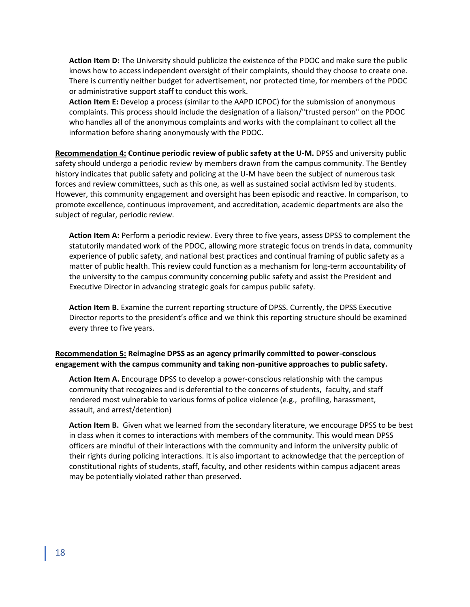**Action Item D:** The University should publicize the existence of the PDOC and make sure the public knows how to access independent oversight of their complaints, should they choose to create one. There is currently neither budget for advertisement, nor protected time, for members of the PDOC or administrative support staff to conduct this work.

**Action Item E:** Develop a process (similar to the AAPD ICPOC) for the submission of anonymous complaints. This process should include the designation of a liaison/"trusted person" on the PDOC who handles all of the anonymous complaints and works with the complainant to collect all the information before sharing anonymously with the PDOC.

**Recommendation 4: Continue periodic review of public safety at the U-M.** DPSS and university public safety should undergo a periodic review by members drawn from the campus community. The Bentley history indicates that public safety and policing at the U-M have been the subject of numerous task forces and review committees, such as this one, as well as sustained social activism led by students. However, this community engagement and oversight has been episodic and reactive. In comparison, to promote excellence, continuous improvement, and accreditation, academic departments are also the subject of regular, periodic review.

**Action Item A:** Perform a periodic review. Every three to five years, assess DPSS to complement the statutorily mandated work of the PDOC, allowing more strategic focus on trends in data, community experience of public safety, and national best practices and continual framing of public safety as a matter of public health. This review could function as a mechanism for long-term accountability of the university to the campus community concerning public safety and assist the President and Executive Director in advancing strategic goals for campus public safety.

**Action Item B.** Examine the current reporting structure of DPSS. Currently, the DPSS Executive Director reports to the president's office and we think this reporting structure should be examined every three to five years.

## **Recommendation 5: Reimagine DPSS as an agency primarily committed to power-conscious engagement with the campus community and taking non-punitive approaches to public safety.**

**Action Item A.** Encourage DPSS to develop a power-conscious relationship with the campus community that recognizes and is deferential to the concerns of students, faculty, and staff rendered most vulnerable to various forms of police violence (e.g., profiling, harassment, assault, and arrest/detention)

**Action Item B.** Given what we learned from the secondary literature, we encourage DPSS to be best in class when it comes to interactions with members of the community. This would mean DPSS officers are mindful of their interactions with the community and inform the university public of their rights during policing interactions. It is also important to acknowledge that the perception of constitutional rights of students, staff, faculty, and other residents within campus adjacent areas may be potentially violated rather than preserved.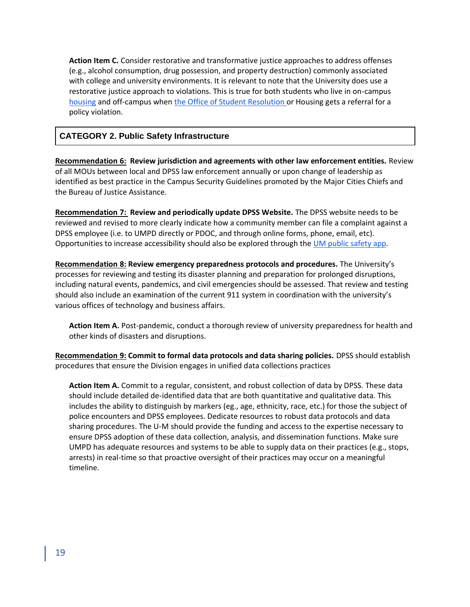**Action Item C.** Consider restorative and transformative justice approaches to address offenses (e.g., alcohol consumption, drug possession, and property destruction) commonly associated with college and university environments. It is relevant to note that the University does use a restorative justice approach to violations. This is true for both students who live in on-campus [housing](https://kb.housing.umich.edu/hc/en-us/articles/360013088272-Housing-Student-%20Conduct-and-Conflict-Resolution-HSCR-Process) and off-campus when [the Office of Student Resolutio](https://oscr.umich.edu/article/adaptable-conflict-resolution-alcohol-and-other)n or Housing gets a referral for a policy violation.

## **CATEGORY 2. Public Safety Infrastructure**

**Recommendation 6: Review jurisdiction and agreements with other law enforcement entities.** Review of all MOUs between local and DPSS law enforcement annually or upon change of leadership as identified as best practice in the Campus Security Guidelines promoted by the Major Cities Chiefs and the Bureau of Justice Assistance.

**Recommendation 7: Review and periodically update DPSS Website.** The DPSS website needs to be reviewed and revised to more clearly indicate how a community member can file a complaint against a DPSS employee (i.e. to UMPD directly or PDOC, and through online forms, phone, email, etc). Opportunities to increase accessibility should also be explored through the [UM public safety app.](https://www.dpss.umich.edu/content/services/dpss-app/)

**Recommendation 8: Review emergency preparedness protocols and procedures.** The University's processes for reviewing and testing its disaster planning and preparation for prolonged disruptions, including natural events, pandemics, and civil emergencies should be assessed. That review and testing should also include an examination of the current 911 system in coordination with the university's various offices of technology and business affairs.

**Action Item A.** Post-pandemic, conduct a thorough review of university preparedness for health and other kinds of disasters and disruptions.

**Recommendation 9: Commit to formal data protocols and data sharing policies.** DPSS should establish procedures that ensure the Division engages in unified data collections practices

**Action Item A.** Commit to a regular, consistent, and robust collection of data by DPSS. These data should include detailed de-identified data that are both quantitative and qualitative data. This includes the ability to distinguish by markers (eg., age, ethnicity, race, etc.) for those the subject of police encounters and DPSS employees. Dedicate resources to robust data protocols and data sharing procedures. The U-M should provide the funding and access to the expertise necessary to ensure DPSS adoption of these data collection, analysis, and dissemination functions. Make sure UMPD has adequate resources and systems to be able to supply data on their practices (e.g., stops, arrests) in real-time so that proactive oversight of their practices may occur on a meaningful timeline.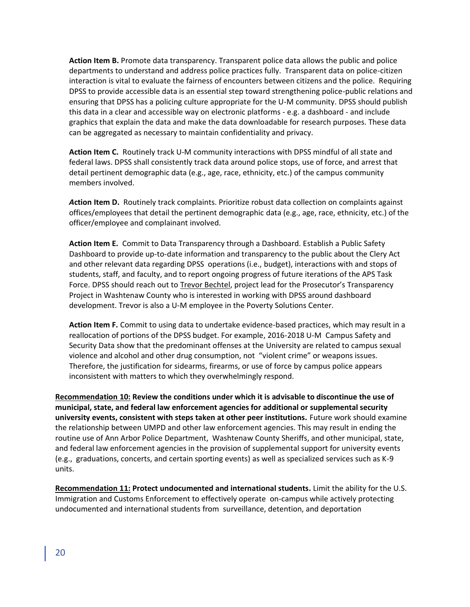**Action Item B.** Promote data transparency. Transparent police data allows the public and police departments to understand and address police practices fully. Transparent data on police-citizen interaction is vital to evaluate the fairness of encounters between citizens and the police. Requiring DPSS to provide accessible data is an essential step toward strengthening police-public relations and ensuring that DPSS has a policing culture appropriate for the U-M community. DPSS should publish this data in a clear and accessible way on electronic platforms - e.g. a dashboard - and include graphics that explain the data and make the data downloadable for research purposes. These data can be aggregated as necessary to maintain confidentiality and privacy.

**Action Item C.** Routinely track U-M community interactions with DPSS mindful of all state and federal laws. DPSS shall consistently track data around police stops, use of force, and arrest that detail pertinent demographic data (e.g., age, race, ethnicity, etc.) of the campus community members involved.

*A***ction Item D.** Routinely track complaints. Prioritize robust data collection on complaints against offices/employees that detail the pertinent demographic data (e.g., age, race, ethnicity, etc.) of the officer/employee and complainant involved.

**Action Item E.** Commit to Data Transparency through a Dashboard. Establish a Public Safety Dashboard to provide up-to-date information and transparency to the public about the Clery Act and other relevant data regarding DPSS operations (i.e., budget), interactions with and stops of students, staff, and faculty, and to report ongoing progress of future iterations of the APS Task Force. DPSS should reach out to [Trevor Bechtel](mailto:betrevor@umich.edu), project lead for the Prosecutor's Transparency Project in Washtenaw County who is interested in working with DPSS around dashboard development. Trevor is also a U-M employee in the Poverty Solutions Center.

**Action Item F.** Commit to using data to undertake evidence-based practices, which may result in a reallocation of portions of the DPSS budget. For example, 2016-2018 U-M Campus Safety and Security Data show that the predominant offenses at the University are related to campus sexual violence and alcohol and other drug consumption, not "violent crime" or weapons issues. Therefore, the justification for sidearms, firearms, or use of force by campus police appears inconsistent with matters to which they overwhelmingly respond.

**Recommendation 10: Review the conditions under which it is advisable to discontinue the use of municipal, state, and federal law enforcement agencies for additional or supplemental security university events, consistent with steps taken at other peer institutions.** Future work should examine the relationship between UMPD and other law enforcement agencies. This may result in ending the routine use of Ann Arbor Police Department, Washtenaw County Sheriffs, and other municipal, state, and federal law enforcement agencies in the provision of supplemental support for university events (e.g., graduations, concerts, and certain sporting events) as well as specialized services such as K-9 units.

**Recommendation 11: Protect undocumented and international students.** Limit the ability for the U.S. Immigration and Customs Enforcement to effectively operate on-campus while actively protecting undocumented and international students from surveillance, detention, and deportation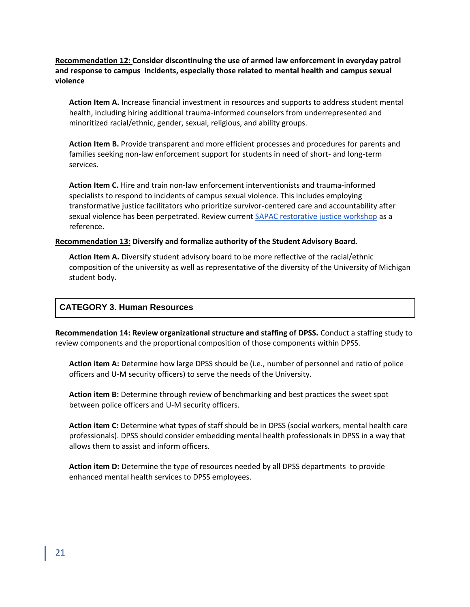**Recommendation 12: Consider discontinuing the use of armed law enforcement in everyday patrol and response to campus incidents, especially those related to mental health and campus sexual violence** 

**Action Item A.** Increase financial investment in resources and supports to address student mental health, including hiring additional trauma-informed counselors from underrepresented and minoritized racial/ethnic, gender, sexual, religious, and ability groups.

**Action Item B.** Provide transparent and more efficient processes and procedures for parents and families seeking non-law enforcement support for students in need of short- and long-term services.

**Action Item C.** Hire and train non-law enforcement interventionists and trauma-informed specialists to respond to incidents of campus sexual violence. This includes employing transformative justice facilitators who prioritize survivor-centered care and accountability after sexual violence has been perpetrated. Review curren[t SAPAC restorative justice workshop](https://sapac.umich.edu/staffworkshops) as a reference.

## **Recommendation 13: Diversify and formalize authority of the Student Advisory Board.**

**Action Item A.** Diversify student advisory board to be more reflective of the racial/ethnic composition of the university as well as representative of the diversity of the University of Michigan student body.

## **CATEGORY 3. Human Resources**

**Recommendation 14: Review organizational structure and staffing of DPSS.** Conduct a staffing study to review components and the proportional composition of those components within DPSS.

**Action item A:** Determine how large DPSS should be (i.e., number of personnel and ratio of police officers and U-M security officers) to serve the needs of the University.

**Action item B:** Determine through review of benchmarking and best practices the sweet spot between police officers and U-M security officers.

**Action item C:** Determine what types of staff should be in DPSS (social workers, mental health care professionals). DPSS should consider embedding mental health professionals in DPSS in a way that allows them to assist and inform officers.

**Action item D:** Determine the type of resources needed by all DPSS departments to provide enhanced mental health services to DPSS employees.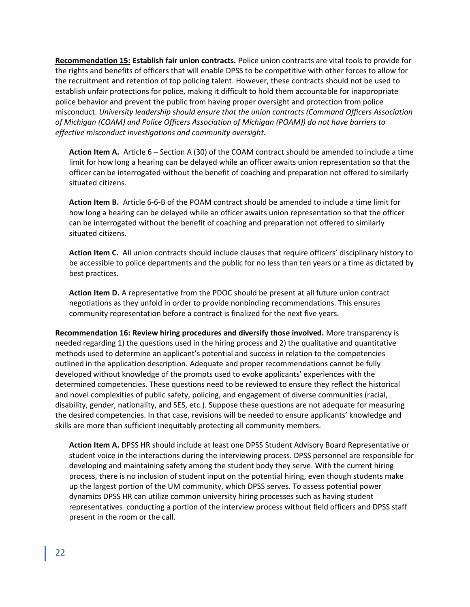**Recommendation 15: Establish fair union contracts.** Police union contracts are vital tools to provide for the rights and benefits of officers that will enable DPSS to be competitive with other forces to allow for the recruitment and retention of top policing talent. However, these contracts should not be used to establish unfair protections for police, making it difficult to hold them accountable for inappropriate police behavior and prevent the public from having proper oversight and protection from police misconduct. *University leadership should ensure that the union contracts (Command Officers Association of Michigan (COAM) and Police Officers Association of Michigan (POAM)) do not have barriers to effective misconduct investigations and community oversight.*

**Action Item A.** Article 6 – Section A (30) of the COAM contract should be amended to include a time limit for how long a hearing can be delayed while an officer awaits union representation so that the officer can be interrogated without the benefit of coaching and preparation not offered to similarly situated citizens.

**Action Item B.** Article 6-6-B of the POAM contract should be amended to include a time limit for how long a hearing can be delayed while an officer awaits union representation so that the officer can be interrogated without the benefit of coaching and preparation not offered to similarly situated citizens.

**Action Item C.** All union contracts should include clauses that require officers' disciplinary history to be accessible to police departments and the public for no less than ten years or a time as dictated by best practices.

**Action Item D.** A representative from the PDOC should be present at all future union contract negotiations as they unfold in order to provide nonbinding recommendations. This ensures community representation before a contract is finalized for the next five years.

**Recommendation 16: Review hiring procedures and diversify those involved.** More transparency is needed regarding 1) the questions used in the hiring process and 2) the qualitative and quantitative methods used to determine an applicant's potential and success in relation to the competencies outlined in the application description. Adequate and proper recommendations cannot be fully developed without knowledge of the prompts used to evoke applicants' experiences with the determined competencies. These questions need to be reviewed to ensure they reflect the historical and novel complexities of public safety, policing, and engagement of diverse communities (racial, disability, gender, nationality, and SES, etc.). Suppose these questions are not adequate for measuring the desired competencies. In that case, revisions will be needed to ensure applicants' knowledge and skills are more than sufficient inequitably protecting all community members.

**Action Item A.** DPSS HR should include at least one DPSS Student Advisory Board Representative or student voice in the interactions during the interviewing process. DPSS personnel are responsible for developing and maintaining safety among the student body they serve. With the current hiring process, there is no inclusion of student input on the potential hiring, even though students make up the largest portion of the UM community, which DPSS serves. To assess potential power dynamics DPSS HR can utilize common university hiring processes such as having student representatives conducting a portion of the interview process without field officers and DPSS staff present in the room or the call.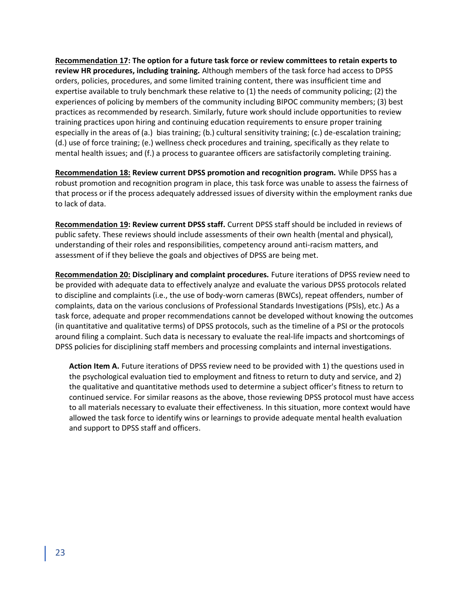**Recommendation 17: The option for a future task force or review committees to retain experts to review HR procedures, including training.** Although members of the task force had access to DPSS orders, policies, procedures, and some limited training content, there was insufficient time and expertise available to truly benchmark these relative to (1) the needs of community policing; (2) the experiences of policing by members of the community including BIPOC community members; (3) best practices as recommended by research. Similarly, future work should include opportunities to review training practices upon hiring and continuing education requirements to ensure proper training especially in the areas of (a.) bias training; (b.) cultural sensitivity training; (c.) de-escalation training; (d.) use of force training; (e.) wellness check procedures and training, specifically as they relate to mental health issues; and (f.) a process to guarantee officers are satisfactorily completing training.

**Recommendation 18: Review current DPSS promotion and recognition program.** While DPSS has a robust promotion and recognition program in place, this task force was unable to assess the fairness of that process or if the process adequately addressed issues of diversity within the employment ranks due to lack of data.

**Recommendation 19: Review current DPSS staff.** Current DPSS staff should be included in reviews of public safety. These reviews should include assessments of their own health (mental and physical), understanding of their roles and responsibilities, competency around anti-racism matters, and assessment of if they believe the goals and objectives of DPSS are being met.

**Recommendation 20: Disciplinary and complaint procedures.** Future iterations of DPSS review need to be provided with adequate data to effectively analyze and evaluate the various DPSS protocols related to discipline and complaints (i.e., the use of body-worn cameras (BWCs), repeat offenders, number of complaints, data on the various conclusions of Professional Standards Investigations (PSIs), etc.) As a task force, adequate and proper recommendations cannot be developed without knowing the outcomes (in quantitative and qualitative terms) of DPSS protocols, such as the timeline of a PSI or the protocols around filing a complaint. Such data is necessary to evaluate the real-life impacts and shortcomings of DPSS policies for disciplining staff members and processing complaints and internal investigations.

**Action Item A.** Future iterations of DPSS review need to be provided with 1) the questions used in the psychological evaluation tied to employment and fitness to return to duty and service, and 2) the qualitative and quantitative methods used to determine a subject officer's fitness to return to continued service. For similar reasons as the above, those reviewing DPSS protocol must have access to all materials necessary to evaluate their effectiveness. In this situation, more context would have allowed the task force to identify wins or learnings to provide adequate mental health evaluation and support to DPSS staff and officers.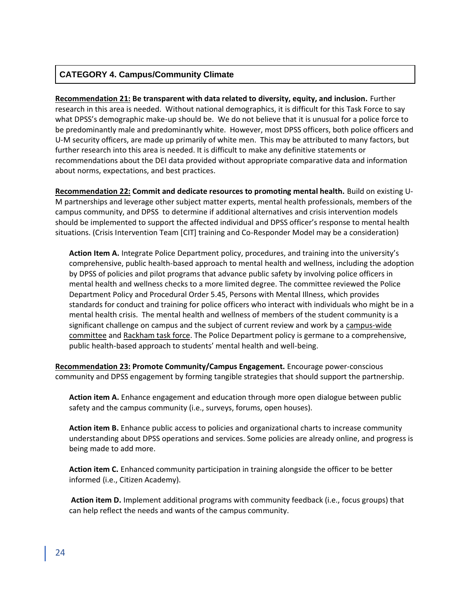## **CATEGORY 4. Campus/Community Climate**

**Recommendation 21: Be transparent with data related to diversity, equity, and inclusion.** Further research in this area is needed. Without national demographics, it is difficult for this Task Force to say what DPSS's demographic make-up should be. We do not believe that it is unusual for a police force to be predominantly male and predominantly white. However, most DPSS officers, both police officers and U-M security officers, are made up primarily of white men. This may be attributed to many factors, but further research into this area is needed. It is difficult to make any definitive statements or recommendations about the DEI data provided without appropriate comparative data and information about norms, expectations, and best practices.

**Recommendation 22: Commit and dedicate resources to promoting mental health.** Build on existing U-M partnerships and leverage other subject matter experts, mental health professionals, members of the campus community, and DPSS to determine if additional alternatives and crisis intervention models should be implemented to support the affected individual and DPSS officer's response to mental health situations. (Crisis Intervention Team [CIT] training and Co-Responder Model may be a consideration)

**Action Item A.** Integrate Police Department policy, procedures, and training into the university's comprehensive, public health-based approach to mental health and wellness, including the adoption by DPSS of policies and pilot programs that advance public safety by involving police officers in mental health and wellness checks to a more limited degree. The committee reviewed the Police Department Policy and Procedural Order 5.45, Persons with Mental Illness, which provides standards for conduct and training for police officers who interact with individuals who might be in a mental health crisis. The mental health and wellness of members of the student community is a significant challenge on campus and the subject of current review and work by a [campus-wide](https://record.umich.edu/articles/committee-seeks-input-on-improving-student-mental-health/)  [committee](https://record.umich.edu/articles/committee-seeks-input-on-improving-student-mental-health/) an[d Rackham task force.](https://rackham.umich.edu/discover-rackham/graduate-student-mental-health-task-force-releases-first-year-report/) The Police Department policy is germane to a comprehensive, public health-based approach to students' mental health and well-being.

**Recommendation 23: Promote Community/Campus Engagement.** Encourage power-conscious community and DPSS engagement by forming tangible strategies that should support the partnership.

**Action item A.** Enhance engagement and education through more open dialogue between public safety and the campus community (i.e., surveys, forums, open houses).

**Action item B.** Enhance public access to policies and organizational charts to increase community understanding about DPSS operations and services. Some policies are already online, and progress is being made to add more.

**Action item C.** Enhanced community participation in training alongside the officer to be better informed (i.e., Citizen Academy).

**Action item D.** Implement additional programs with community feedback (i.e., focus groups) that can help reflect the needs and wants of the campus community.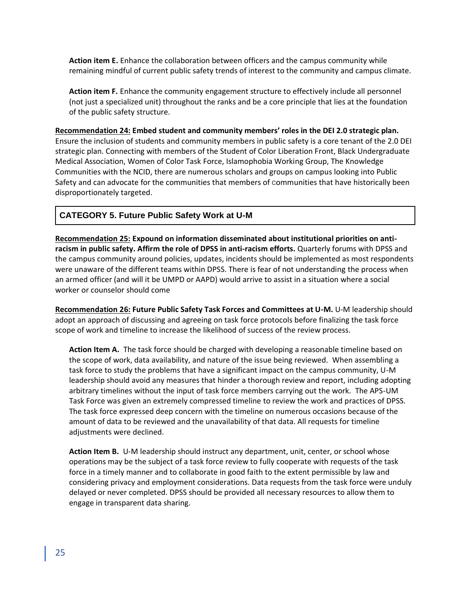**Action item E.** Enhance the collaboration between officers and the campus community while remaining mindful of current public safety trends of interest to the community and campus climate.

**Action item F.** Enhance the community engagement structure to effectively include all personnel (not just a specialized unit) throughout the ranks and be a core principle that lies at the foundation of the public safety structure.

**Recommendation 24: Embed student and community members' roles in the DEI 2.0 strategic plan.**  Ensure the inclusion of students and community members in public safety is a core tenant of the 2.0 DEI strategic plan. Connecting with members of the Student of Color Liberation Front, Black Undergraduate Medical Association, Women of Color Task Force, Islamophobia Working Group, The Knowledge Communities with the NCID, there are numerous scholars and groups on campus looking into Public Safety and can advocate for the communities that members of communities that have historically been disproportionately targeted.

## **CATEGORY 5. Future Public Safety Work at U-M**

**Recommendation 25: Expound on information disseminated about institutional priorities on antiracism in public safety. Affirm the role of DPSS in anti-racism efforts.** Quarterly forums with DPSS and the campus community around policies, updates, incidents should be implemented as most respondents were unaware of the different teams within DPSS. There is fear of not understanding the process when an armed officer (and will it be UMPD or AAPD) would arrive to assist in a situation where a social worker or counselor should come

**Recommendation 26: Future Public Safety Task Forces and Committees at U-M.** U-M leadership should adopt an approach of discussing and agreeing on task force protocols before finalizing the task force scope of work and timeline to increase the likelihood of success of the review process.

**Action Item A.** The task force should be charged with developing a reasonable timeline based on the scope of work, data availability, and nature of the issue being reviewed. When assembling a task force to study the problems that have a significant impact on the campus community, U-M leadership should avoid any measures that hinder a thorough review and report, including adopting arbitrary timelines without the input of task force members carrying out the work. The APS-UM Task Force was given an extremely compressed timeline to review the work and practices of DPSS. The task force expressed deep concern with the timeline on numerous occasions because of the amount of data to be reviewed and the unavailability of that data. All requests for timeline adjustments were declined.

**Action Item B.** U-M leadership should instruct any department, unit, center, or school whose operations may be the subject of a task force review to fully cooperate with requests of the task force in a timely manner and to collaborate in good faith to the extent permissible by law and considering privacy and employment considerations. Data requests from the task force were unduly delayed or never completed. DPSS should be provided all necessary resources to allow them to engage in transparent data sharing.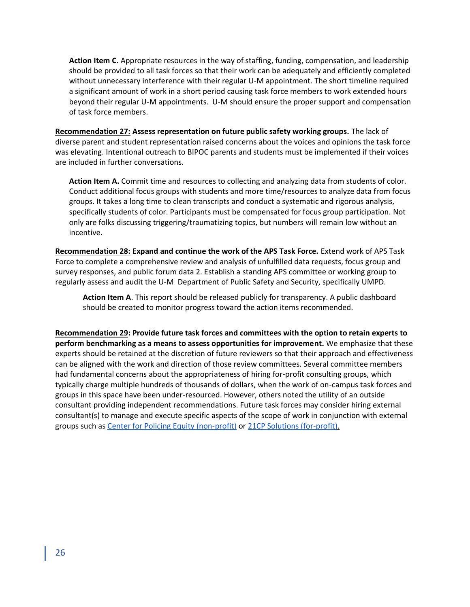**Action Item C.** Appropriate resources in the way of staffing, funding, compensation, and leadership should be provided to all task forces so that their work can be adequately and efficiently completed without unnecessary interference with their regular U-M appointment. The short timeline required a significant amount of work in a short period causing task force members to work extended hours beyond their regular U-M appointments. U-M should ensure the proper support and compensation of task force members.

**Recommendation 27: Assess representation on future public safety working groups.** The lack of diverse parent and student representation raised concerns about the voices and opinions the task force was elevating. Intentional outreach to BIPOC parents and students must be implemented if their voices are included in further conversations.

**Action Item A.** Commit time and resources to collecting and analyzing data from students of color. Conduct additional focus groups with students and more time/resources to analyze data from focus groups. It takes a long time to clean transcripts and conduct a systematic and rigorous analysis, specifically students of color. Participants must be compensated for focus group participation. Not only are folks discussing triggering/traumatizing topics, but numbers will remain low without an incentive.

**Recommendation 28: Expand and continue the work of the APS Task Force.** Extend work of APS Task Force to complete a comprehensive review and analysis of unfulfilled data requests, focus group and survey responses, and public forum data 2. Establish a standing APS committee or working group to regularly assess and audit the U-M Department of Public Safety and Security, specifically UMPD.

**Action Item A**. This report should be released publicly for transparency. A public dashboard should be created to monitor progress toward the action items recommended.

**Recommendation 29: Provide future task forces and committees with the option to retain experts to perform benchmarking as a means to assess opportunities for improvement.** We emphasize that these experts should be retained at the discretion of future reviewers so that their approach and effectiveness can be aligned with the work and direction of those review committees. Several committee members had fundamental concerns about the appropriateness of hiring for-profit consulting groups, which typically charge multiple hundreds of thousands of dollars, when the work of on-campus task forces and groups in this space have been under-resourced. However, others noted the utility of an outside consultant providing independent recommendations. Future task forces may consider hiring external consultant(s) to manage and execute specific aspects of the scope of work in conjunction with external groups such as [Center for Policing Equity](https://policingequity.org/) (non-profit) or [21CP Solutions](https://www.21cpsolutions.com/) (for-profit).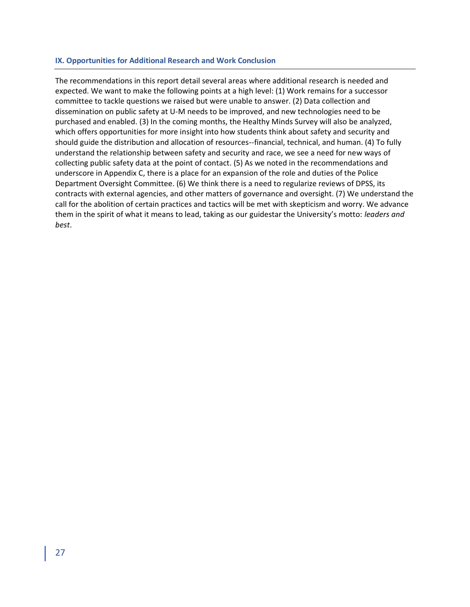#### **IX. Opportunities for Additional Research and Work Conclusion**

The recommendations in this report detail several areas where additional research is needed and expected. We want to make the following points at a high level: (1) Work remains for a successor committee to tackle questions we raised but were unable to answer. (2) Data collection and dissemination on public safety at U-M needs to be improved, and new technologies need to be purchased and enabled. (3) In the coming months, the Healthy Minds Survey will also be analyzed, which offers opportunities for more insight into how students think about safety and security and should guide the distribution and allocation of resources--financial, technical, and human. (4) To fully understand the relationship between safety and security and race, we see a need for new ways of collecting public safety data at the point of contact. (5) As we noted in the recommendations and underscore in Appendix C, there is a place for an expansion of the role and duties of the Police Department Oversight Committee. (6) We think there is a need to regularize reviews of DPSS, its contracts with external agencies, and other matters of governance and oversight. (7) We understand the call for the abolition of certain practices and tactics will be met with skepticism and worry. We advance them in the spirit of what it means to lead, taking as our guidestar the University's motto: *leaders and best*.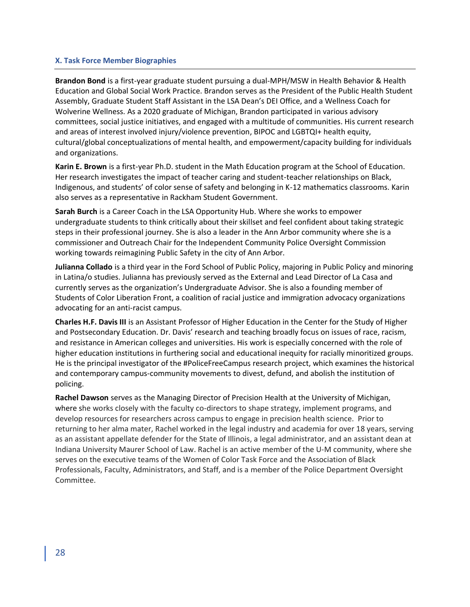## **X. Task Force Member Biographies**

**Brandon Bond** is a first-year graduate student pursuing a dual-MPH/MSW in Health Behavior & Health Education and Global Social Work Practice. Brandon serves as the President of the Public Health Student Assembly, Graduate Student Staff Assistant in the LSA Dean's DEI Office, and a Wellness Coach for Wolverine Wellness. As a 2020 graduate of Michigan, Brandon participated in various advisory committees, social justice initiatives, and engaged with a multitude of communities. His current research and areas of interest involved injury/violence prevention, BIPOC and LGBTQI+ health equity, cultural/global conceptualizations of mental health, and empowerment/capacity building for individuals and organizations.

**Karin E. Brown** is a first-year Ph.D. student in the Math Education program at the School of Education. Her research investigates the impact of teacher caring and student-teacher relationships on Black, Indigenous, and students' of color sense of safety and belonging in K-12 mathematics classrooms. Karin also serves as a representative in Rackham Student Government.

**Sarah Burch** is a Career Coach in the LSA Opportunity Hub. Where she works to empower undergraduate students to think critically about their skillset and feel confident about taking strategic steps in their professional journey. She is also a leader in the Ann Arbor community where she is a commissioner and Outreach Chair for the Independent Community Police Oversight Commission working towards reimagining Public Safety in the city of Ann Arbor.

**Julianna Collado** is a third year in the Ford School of Public Policy, majoring in Public Policy and minoring in Latina/o studies. Julianna has previously served as the External and Lead Director of La Casa and currently serves as the organization's Undergraduate Advisor. She is also a founding member of Students of Color Liberation Front, a coalition of racial justice and immigration advocacy organizations advocating for an anti-racist campus.

**Charles H.F. Davis III** is an Assistant Professor of Higher Education in the Center for the Study of Higher and Postsecondary Education. Dr. Davis' research and teaching broadly focus on issues of race, racism, and resistance in American colleges and universities. His work is especially concerned with the role of higher education institutions in furthering social and educational inequity for racially minoritized groups. He is the principal investigator of the #PoliceFreeCampus research project, which examines the historical and contemporary campus-community movements to divest, defund, and abolish the institution of policing.

**Rachel Dawson** serves as the Managing Director of Precision Health at the University of Michigan, where she works closely with the faculty co-directors to shape strategy, implement programs, and develop resources for researchers across campus to engage in precision health science. Prior to returning to her alma mater, Rachel worked in the legal industry and academia for over 18 years, serving as an assistant appellate defender for the State of Illinois, a legal administrator, and an assistant dean at Indiana University Maurer School of Law. Rachel is an active member of the U-M community, where she serves on the executive teams of the Women of Color Task Force and the Association of Black Professionals, Faculty, Administrators, and Staff, and is a member of the Police Department Oversight Committee.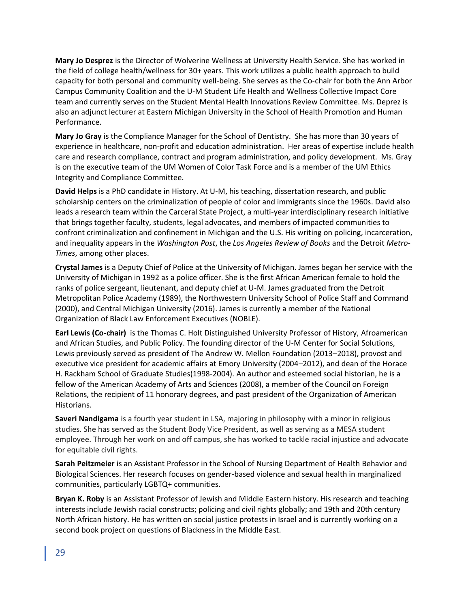**Mary Jo Desprez** is the Director of Wolverine Wellness at University Health Service. She has worked in the field of college health/wellness for 30+ years. This work utilizes a public health approach to build capacity for both personal and community well-being. She serves as the Co-chair for both the Ann Arbor Campus Community Coalition and the U-M Student Life Health and Wellness Collective Impact Core team and currently serves on the Student Mental Health Innovations Review Committee. Ms. Deprez is also an adjunct lecturer at Eastern Michigan University in the School of Health Promotion and Human Performance.

**Mary Jo Gray** is the Compliance Manager for the School of Dentistry. She has more than 30 years of experience in healthcare, non-profit and education administration. Her areas of expertise include health care and research compliance, contract and program administration, and policy development. Ms. Gray is on the executive team of the UM Women of Color Task Force and is a member of the UM Ethics Integrity and Compliance Committee.

**David Helps** is a PhD candidate in History. At U-M, his teaching, dissertation research, and public scholarship centers on the criminalization of people of color and immigrants since the 1960s. David also leads a research team within the Carceral State Project, a multi-year interdisciplinary research initiative that brings together faculty, students, legal advocates, and members of impacted communities to confront criminalization and confinement in Michigan and the U.S. His writing on policing, incarceration, and inequality appears in the *Washington Post*, the *Los Angeles Review of Books* and the Detroit *Metro-Times*, among other places.

**Crystal James** is a Deputy Chief of Police at the University of Michigan. James began her service with the University of Michigan in 1992 as a police officer. She is the first African American female to hold the ranks of police sergeant, lieutenant, and deputy chief at U-M. James graduated from the Detroit Metropolitan Police Academy (1989), the Northwestern University School of Police Staff and Command (2000), and Central Michigan University (2016). James is currently a member of the National Organization of Black Law Enforcement Executives (NOBLE).

**Earl Lewis (Co-chair)** is the Thomas C. Holt Distinguished University Professor of History, Afroamerican and African Studies, and Public Policy. The founding director of the U-M Center for Social Solutions, Lewis previously served as president of The Andrew W. Mellon Foundation (2013–2018), provost and executive vice president for academic affairs at Emory University (2004–2012), and dean of the Horace H. Rackham School of Graduate Studies(1998-2004). An author and esteemed social historian, he is a fellow of the American Academy of Arts and Sciences (2008), a member of the Council on Foreign Relations, the recipient of 11 honorary degrees, and past president of the Organization of American Historians.

**Saveri Nandigama** is a fourth year student in LSA, majoring in philosophy with a minor in religious studies. She has served as the Student Body Vice President, as well as serving as a MESA student employee. Through her work on and off campus, she has worked to tackle racial injustice and advocate for equitable civil rights.

**Sarah Peitzmeier** is an Assistant Professor in the School of Nursing Department of Health Behavior and Biological Sciences. Her research focuses on gender-based violence and sexual health in marginalized communities, particularly LGBTQ+ communities.

**Bryan K. Roby** is an Assistant Professor of Jewish and Middle Eastern history. His research and teaching interests include Jewish racial constructs; policing and civil rights globally; and 19th and 20th century North African history. He has written on social justice protests in Israel and is currently working on a second book project on questions of Blackness in the Middle East.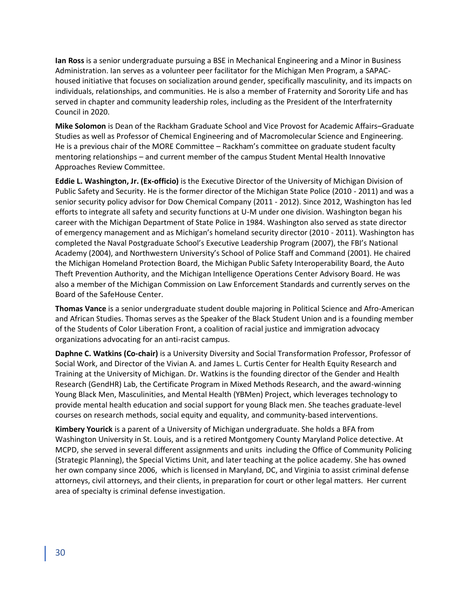**Ian Ross** is a senior undergraduate pursuing a BSE in Mechanical Engineering and a Minor in Business Administration. Ian serves as a volunteer peer facilitator for the Michigan Men Program, a SAPAChoused initiative that focuses on socialization around gender, specifically masculinity, and its impacts on individuals, relationships, and communities. He is also a member of Fraternity and Sorority Life and has served in chapter and community leadership roles, including as the President of the Interfraternity Council in 2020.

**Mike Solomon** is Dean of the Rackham Graduate School and Vice Provost for Academic Affairs–Graduate Studies as well as Professor of Chemical Engineering and of Macromolecular Science and Engineering. He is a previous chair of the MORE Committee – Rackham's committee on graduate student faculty mentoring relationships – and current member of the campus Student Mental Health Innovative Approaches Review Committee.

**Eddie L. Washington, Jr. (Ex-officio)** is the Executive Director of the University of Michigan Division of Public Safety and Security. He is the former director of the Michigan State Police (2010 - 2011) and was a senior security policy advisor for Dow Chemical Company (2011 - 2012). Since 2012, Washington has led efforts to integrate all safety and security functions at U-M under one division. Washington began his career with the Michigan Department of State Police in 1984. Washington also served as state director of emergency management and as Michigan's homeland security director (2010 - 2011). Washington has completed the Naval Postgraduate School's Executive Leadership Program (2007), the FBI's National Academy (2004), and Northwestern University's School of Police Staff and Command (2001). He chaired the Michigan Homeland Protection Board, the Michigan Public Safety Interoperability Board, the Auto Theft Prevention Authority, and the Michigan Intelligence Operations Center Advisory Board. He was also a member of the Michigan Commission on Law Enforcement Standards and currently serves on the Board of the SafeHouse Center.

**Thomas Vance** is a senior undergraduate student double majoring in Political Science and Afro-American and African Studies. Thomas serves as the Speaker of the Black Student Union and is a founding member of the Students of Color Liberation Front, a coalition of racial justice and immigration advocacy organizations advocating for an anti-racist campus.

**Daphne C. Watkins (Co-chair)** is a University Diversity and Social Transformation Professor, Professor of Social Work, and Director of the Vivian A. and James L. Curtis Center for Health Equity Research and Training at the University of Michigan. Dr. Watkins is the founding director of the Gender and Health Research (GendHR) Lab, the Certificate Program in Mixed Methods Research, and the award-winning Young Black Men, Masculinities, and Mental Health (YBMen) Project, which leverages technology to provide mental health education and social support for young Black men. She teaches graduate-level courses on research methods, social equity and equality, and community-based interventions.

**Kimbery Yourick** is a parent of a University of Michigan undergraduate. She holds a BFA from Washington University in St. Louis, and is a retired Montgomery County Maryland Police detective. At MCPD, she served in several different assignments and units including the Office of Community Policing (Strategic Planning), the Special Victims Unit, and later teaching at the police academy. She has owned her own company since 2006, which is licensed in Maryland, DC, and Virginia to assist criminal defense attorneys, civil attorneys, and their clients, in preparation for court or other legal matters. Her current area of specialty is criminal defense investigation.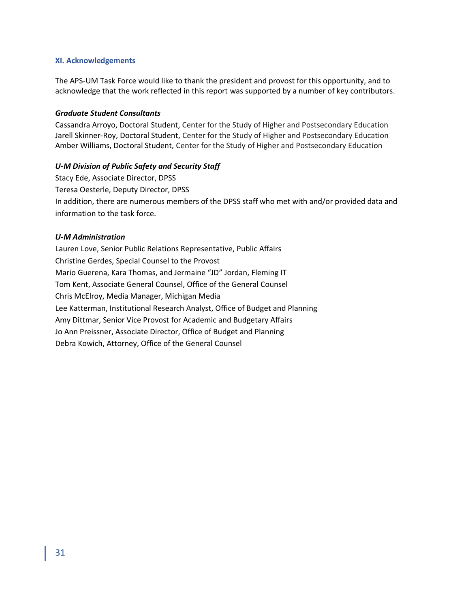## **XI. Acknowledgements**

The APS-UM Task Force would like to thank the president and provost for this opportunity, and to acknowledge that the work reflected in this report was supported by a number of key contributors.

## *Graduate Student Consultants*

Cassandra Arroyo, Doctoral Student, Center for the Study of Higher and Postsecondary Education Jarell Skinner-Roy, Doctoral Student, Center for the Study of Higher and Postsecondary Education Amber Williams, Doctoral Student, Center for the Study of Higher and Postsecondary Education

## *U-M Division of Public Safety and Security Staff*

Stacy Ede, Associate Director, DPSS Teresa Oesterle, Deputy Director, DPSS In addition, there are numerous members of the DPSS staff who met with and/or provided data and information to the task force.

## *U-M Administration*

Lauren Love, Senior Public Relations Representative, Public Affairs Christine Gerdes, Special Counsel to the Provost Mario Guerena, Kara Thomas, and Jermaine "JD" Jordan, Fleming IT Tom Kent, Associate General Counsel, Office of the General Counsel Chris McElroy, Media Manager, Michigan Media Lee Katterman, Institutional Research Analyst, Office of Budget and Planning Amy Dittmar, Senior Vice Provost for Academic and Budgetary Affairs Jo Ann Preissner, Associate Director, Office of Budget and Planning Debra Kowich, Attorney, Office of the General Counsel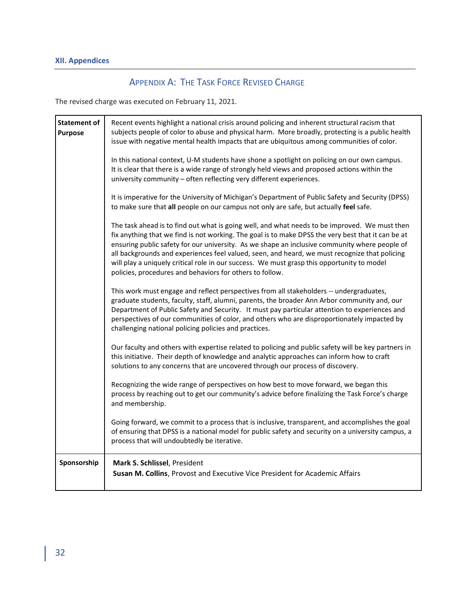# APPENDIX A: THE TASK FORCE REVISED CHARGE

The revised charge was executed on February 11, 2021.

| <b>Statement of</b><br><b>Purpose</b> | Recent events highlight a national crisis around policing and inherent structural racism that<br>subjects people of color to abuse and physical harm. More broadly, protecting is a public health<br>issue with negative mental health impacts that are ubiquitous among communities of color.                                                                                                                                                                                                                                                                  |
|---------------------------------------|-----------------------------------------------------------------------------------------------------------------------------------------------------------------------------------------------------------------------------------------------------------------------------------------------------------------------------------------------------------------------------------------------------------------------------------------------------------------------------------------------------------------------------------------------------------------|
|                                       | In this national context, U-M students have shone a spotlight on policing on our own campus.<br>It is clear that there is a wide range of strongly held views and proposed actions within the<br>university community - often reflecting very different experiences.                                                                                                                                                                                                                                                                                            |
|                                       | It is imperative for the University of Michigan's Department of Public Safety and Security (DPSS)<br>to make sure that all people on our campus not only are safe, but actually feel safe.                                                                                                                                                                                                                                                                                                                                                                      |
|                                       | The task ahead is to find out what is going well, and what needs to be improved. We must then<br>fix anything that we find is not working. The goal is to make DPSS the very best that it can be at<br>ensuring public safety for our university. As we shape an inclusive community where people of<br>all backgrounds and experiences feel valued, seen, and heard, we must recognize that policing<br>will play a uniquely critical role in our success. We must grasp this opportunity to model<br>policies, procedures and behaviors for others to follow. |
|                                       | This work must engage and reflect perspectives from all stakeholders -- undergraduates,<br>graduate students, faculty, staff, alumni, parents, the broader Ann Arbor community and, our<br>Department of Public Safety and Security. It must pay particular attention to experiences and<br>perspectives of our communities of color, and others who are disproportionately impacted by<br>challenging national policing policies and practices.                                                                                                                |
|                                       | Our faculty and others with expertise related to policing and public safety will be key partners in<br>this initiative. Their depth of knowledge and analytic approaches can inform how to craft<br>solutions to any concerns that are uncovered through our process of discovery.                                                                                                                                                                                                                                                                              |
|                                       | Recognizing the wide range of perspectives on how best to move forward, we began this<br>process by reaching out to get our community's advice before finalizing the Task Force's charge<br>and membership.                                                                                                                                                                                                                                                                                                                                                     |
|                                       | Going forward, we commit to a process that is inclusive, transparent, and accomplishes the goal<br>of ensuring that DPSS is a national model for public safety and security on a university campus, a<br>process that will undoubtedly be iterative.                                                                                                                                                                                                                                                                                                            |
| Sponsorship                           | Mark S. Schlissel, President<br>Susan M. Collins, Provost and Executive Vice President for Academic Affairs                                                                                                                                                                                                                                                                                                                                                                                                                                                     |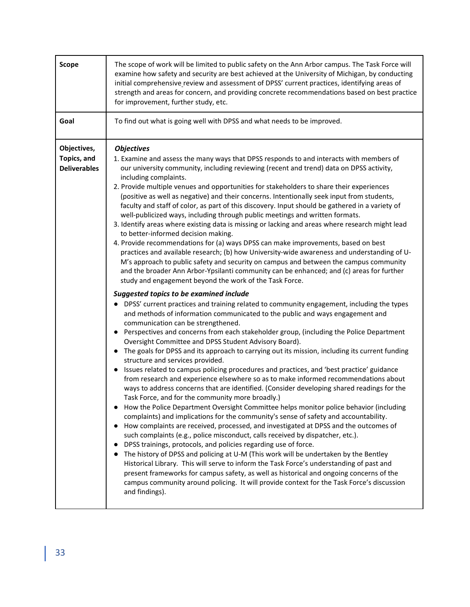| <b>Scope</b>                                      | The scope of work will be limited to public safety on the Ann Arbor campus. The Task Force will<br>examine how safety and security are best achieved at the University of Michigan, by conducting<br>initial comprehensive review and assessment of DPSS' current practices, identifying areas of<br>strength and areas for concern, and providing concrete recommendations based on best practice<br>for improvement, further study, etc.                                                                                                                                                                                                                                                                                                                                                                                                                                                                                                                                                                                                                                                                                                                                                                                                                                                                                                                                                                                                                                                                                                                                                                                                                                                                                                                                                                                                                                                                                                                                                                                                                                                                                                                                                                                                                                                                                                                                                                                                                                                                                                                                                                                                                                                                                                                                                                                                                                                                                            |
|---------------------------------------------------|---------------------------------------------------------------------------------------------------------------------------------------------------------------------------------------------------------------------------------------------------------------------------------------------------------------------------------------------------------------------------------------------------------------------------------------------------------------------------------------------------------------------------------------------------------------------------------------------------------------------------------------------------------------------------------------------------------------------------------------------------------------------------------------------------------------------------------------------------------------------------------------------------------------------------------------------------------------------------------------------------------------------------------------------------------------------------------------------------------------------------------------------------------------------------------------------------------------------------------------------------------------------------------------------------------------------------------------------------------------------------------------------------------------------------------------------------------------------------------------------------------------------------------------------------------------------------------------------------------------------------------------------------------------------------------------------------------------------------------------------------------------------------------------------------------------------------------------------------------------------------------------------------------------------------------------------------------------------------------------------------------------------------------------------------------------------------------------------------------------------------------------------------------------------------------------------------------------------------------------------------------------------------------------------------------------------------------------------------------------------------------------------------------------------------------------------------------------------------------------------------------------------------------------------------------------------------------------------------------------------------------------------------------------------------------------------------------------------------------------------------------------------------------------------------------------------------------------------------------------------------------------------------------------------------------------|
| Goal                                              | To find out what is going well with DPSS and what needs to be improved.                                                                                                                                                                                                                                                                                                                                                                                                                                                                                                                                                                                                                                                                                                                                                                                                                                                                                                                                                                                                                                                                                                                                                                                                                                                                                                                                                                                                                                                                                                                                                                                                                                                                                                                                                                                                                                                                                                                                                                                                                                                                                                                                                                                                                                                                                                                                                                                                                                                                                                                                                                                                                                                                                                                                                                                                                                                               |
| Objectives,<br>Topics, and<br><b>Deliverables</b> | <b>Objectives</b><br>1. Examine and assess the many ways that DPSS responds to and interacts with members of<br>our university community, including reviewing (recent and trend) data on DPSS activity,<br>including complaints.<br>2. Provide multiple venues and opportunities for stakeholders to share their experiences<br>(positive as well as negative) and their concerns. Intentionally seek input from students,<br>faculty and staff of color, as part of this discovery. Input should be gathered in a variety of<br>well-publicized ways, including through public meetings and written formats.<br>3. Identify areas where existing data is missing or lacking and areas where research might lead<br>to better-informed decision making.<br>4. Provide recommendations for (a) ways DPSS can make improvements, based on best<br>practices and available research; (b) how University-wide awareness and understanding of U-<br>M's approach to public safety and security on campus and between the campus community<br>and the broader Ann Arbor-Ypsilanti community can be enhanced; and (c) areas for further<br>study and engagement beyond the work of the Task Force.<br>Suggested topics to be examined include<br>• DPSS' current practices and training related to community engagement, including the types<br>and methods of information communicated to the public and ways engagement and<br>communication can be strengthened.<br>Perspectives and concerns from each stakeholder group, (including the Police Department<br>Oversight Committee and DPSS Student Advisory Board).<br>The goals for DPSS and its approach to carrying out its mission, including its current funding<br>$\bullet$<br>structure and services provided.<br>Issues related to campus policing procedures and practices, and 'best practice' guidance<br>from research and experience elsewhere so as to make informed recommendations about<br>ways to address concerns that are identified. (Consider developing shared readings for the<br>Task Force, and for the community more broadly.)<br>How the Police Department Oversight Committee helps monitor police behavior (including<br>complaints) and implications for the community's sense of safety and accountability.<br>How complaints are received, processed, and investigated at DPSS and the outcomes of<br>such complaints (e.g., police misconduct, calls received by dispatcher, etc.).<br>DPSS trainings, protocols, and policies regarding use of force.<br>The history of DPSS and policing at U-M (This work will be undertaken by the Bentley<br>Historical Library. This will serve to inform the Task Force's understanding of past and<br>present frameworks for campus safety, as well as historical and ongoing concerns of the<br>campus community around policing. It will provide context for the Task Force's discussion<br>and findings). |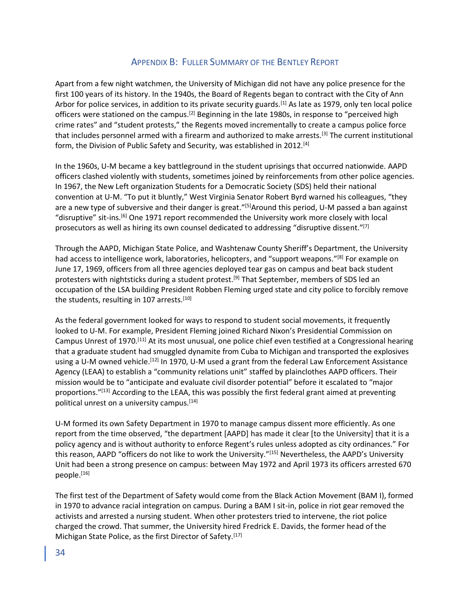## APPENDIX B: FULLER SUMMARY OF THE BENTLEY REPORT

Apart from a few night watchmen, the University of Michigan did not have any police presence for the first 100 years of its history. In the 1940s, the Board of Regents began to contract with the City of Ann Arbor for police services, in addition to its private security guards.<sup>[1]</sup> As late as 1979, only ten local police officers were stationed on the campus.<sup>[2]</sup> Beginning in the late 1980s, in response to "perceived high crime rates" and "student protests," the Regents moved incrementally to create a campus police force that includes personnel armed with a firearm and authorized to make arrests.[3] The current institutional form, the Division of Public Safety and Security, was established in 2012.<sup>[4]</sup>

In the 1960s, U-M became a key battleground in the student uprisings that occurred nationwide. AAPD officers clashed violently with students, sometimes joined by reinforcements from other police agencies. In 1967, the New Left organization Students for a Democratic Society (SDS) held their national convention at U-M. "To put it bluntly," West Virginia Senator Robert Byrd warned his colleagues, "they are a new type of subversive and their danger is great."<sup>[5]</sup>Around this period, U-M passed a ban against "disruptive" sit-ins.[6] One 1971 report recommended the University work more closely with local prosecutors as well as hiring its own counsel dedicated to addressing "disruptive dissent."<sup>[7]</sup>

Through the AAPD, Michigan State Police, and Washtenaw County Sheriff's Department, the University had access to intelligence work, laboratories, helicopters, and "support weapons."<sup>[8]</sup> For example on June 17, 1969, officers from all three agencies deployed tear gas on campus and beat back student protesters with nightsticks during a student protest.<sup>[9]</sup> That September, members of SDS led an occupation of the LSA building President Robben Fleming urged state and city police to forcibly remove the students, resulting in 107 arrests.<sup>[10]</sup>

As the federal government looked for ways to respond to student social movements, it frequently looked to U-M. For example, President Fleming joined Richard Nixon's Presidential Commission on Campus Unrest of 1970.[11] At its most unusual, one police chief even testified at a Congressional hearing that a graduate student had smuggled dynamite from Cuba to Michigan and transported the explosives using a U-M owned vehicle.<sup>[12]</sup> In 1970, U-M used a grant from the federal Law Enforcement Assistance Agency (LEAA) to establish a "community relations unit" staffed by plainclothes AAPD officers. Their mission would be to "anticipate and evaluate civil disorder potential" before it escalated to "major proportions."<sup>[13]</sup> According to the LEAA, this was possibly the first federal grant aimed at preventing political unrest on a university campus.[14]

U-M formed its own Safety Department in 1970 to manage campus dissent more efficiently. As one report from the time observed, "the department [AAPD] has made it clear [to the University] that it is a policy agency and is without authority to enforce Regent's rules unless adopted as city ordinances." For this reason, AAPD "officers do not like to work the University."[15] Nevertheless, the AAPD's University Unit had been a strong presence on campus: between May 1972 and April 1973 its officers arrested 670 people.[16]

The first test of the Department of Safety would come from the Black Action Movement (BAM I), formed in 1970 to advance racial integration on campus. During a BAM I sit-in, police in riot gear removed the activists and arrested a nursing student. When other protesters tried to intervene, the riot police charged the crowd. That summer, the University hired Fredrick E. Davids, the former head of the Michigan State Police, as the first Director of Safety.<sup>[17]</sup>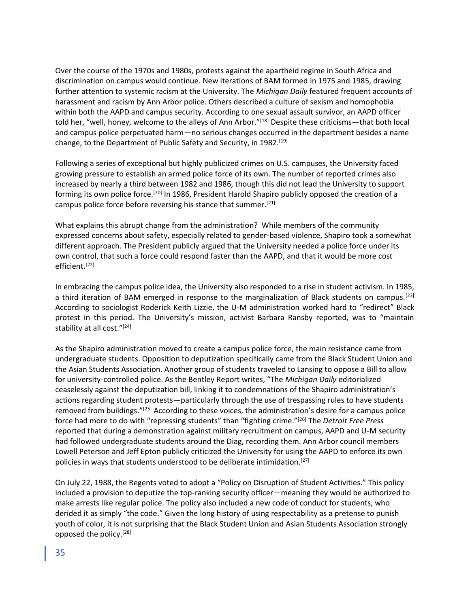Over the course of the 1970s and 1980s, protests against the apartheid regime in South Africa and discrimination on campus would continue. New iterations of BAM formed in 1975 and 1985, drawing further attention to systemic racism at the University. The *Michigan Daily* featured frequent accounts of harassment and racism by Ann Arbor police. Others described a culture of sexism and homophobia within both the AAPD and campus security. According to one sexual assault survivor, an AAPD officer told her, "well, honey, welcome to the alleys of Ann Arbor."<sup>[18]</sup> Despite these criticisms—that both local and campus police perpetuated harm—no serious changes occurred in the department besides a name change, to the Department of Public Safety and Security, in 1982.<sup>[19]</sup>

Following a series of exceptional but highly publicized crimes on U.S. campuses, the University faced growing pressure to establish an armed police force of its own. The number of reported crimes also increased by nearly a third between 1982 and 1986, though this did not lead the University to support forming its own police force.[20] In 1986, President Harold Shapiro publicly opposed the creation of a campus police force before reversing his stance that summer.[21]

What explains this abrupt change from the administration? While members of the community expressed concerns about safety, especially related to gender-based violence, Shapiro took a somewhat different approach. The President publicly argued that the University needed a police force under its own control, that such a force could respond faster than the AAPD, and that it would be more cost efficient.[22]

In embracing the campus police idea, the University also responded to a rise in student activism. In 1985, a third iteration of BAM emerged in response to the marginalization of Black students on campus.[23] According to sociologist Roderick Keith Lizzie, the U-M administration worked hard to "redirect" Black protest in this period. The University's mission, activist Barbara Ransby reported, was to "maintain stability at all cost."[24]

As the Shapiro administration moved to create a campus police force, the main resistance came from undergraduate students. Opposition to deputization specifically came from the Black Student Union and the Asian Students Association. Another group of students traveled to Lansing to oppose a Bill to allow for university-controlled police. As the Bentley Report writes, "The *Michigan Daily* editorialized ceaselessly against the deputization bill, linking it to condemnations of the Shapiro administration's actions regarding student protests—particularly through the use of trespassing rules to have students removed from buildings."<sup>[25]</sup> According to these voices, the administration's desire for a campus police force had more to do with "repressing students" than "fighting crime."[26] The *Detroit Free Press*  reported that during a demonstration against military recruitment on campus, AAPD and U-M security had followed undergraduate students around the Diag, recording them. Ann Arbor council members Lowell Peterson and Jeff Epton publicly criticized the University for using the AAPD to enforce its own policies in ways that students understood to be deliberate intimidation.<sup>[27]</sup>

On July 22, 1988, the Regents voted to adopt a "Policy on Disruption of Student Activities." This policy included a provision to deputize the top-ranking security officer—meaning they would be authorized to make arrests like regular police. The policy also included a new code of conduct for students, who derided it as simply "the code." Given the long history of using respectability as a pretense to punish youth of color, it is not surprising that the Black Student Union and Asian Students Association strongly opposed the policy.[28]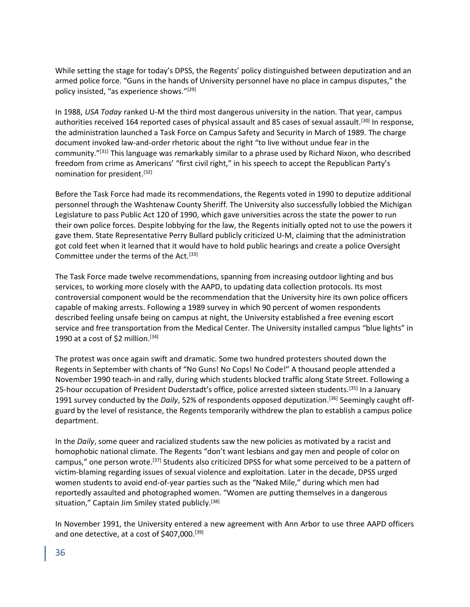While setting the stage for today's DPSS, the Regents' policy distinguished between deputization and an armed police force. "Guns in the hands of University personnel have no place in campus disputes," the policy insisted, "as experience shows."[29]

In 1988, *USA Today* ranked U-M the third most dangerous university in the nation. That year, campus authorities received 164 reported cases of physical assault and 85 cases of sexual assault.<sup>[30]</sup> In response, the administration launched a Task Force on Campus Safety and Security in March of 1989. The charge document invoked law-and-order rhetoric about the right "to live without undue fear in the community."[31] This language was remarkably similar to a phrase used by Richard Nixon, who described freedom from crime as Americans' "first civil right," in his speech to accept the Republican Party's nomination for president.[32]

Before the Task Force had made its recommendations, the Regents voted in 1990 to deputize additional personnel through the Washtenaw County Sheriff. The University also successfully lobbied the Michigan Legislature to pass Public Act 120 of 1990, which gave universities across the state the power to run their own police forces. Despite lobbying for the law, the Regents initially opted not to use the powers it gave them. State Representative Perry Bullard publicly criticized U-M, claiming that the administration got cold feet when it learned that it would have to hold public hearings and create a police Oversight Committee under the terms of the Act.[33]

The Task Force made twelve recommendations, spanning from increasing outdoor lighting and bus services, to working more closely with the AAPD, to updating data collection protocols. Its most controversial component would be the recommendation that the University hire its own police officers capable of making arrests. Following a 1989 survey in which 90 percent of women respondents described feeling unsafe being on campus at night, the University established a free evening escort service and free transportation from the Medical Center. The University installed campus "blue lights" in 1990 at a cost of \$2 million.<sup>[34]</sup>

The protest was once again swift and dramatic. Some two hundred protesters shouted down the Regents in September with chants of "No Guns! No Cops! No Code!" A thousand people attended a November 1990 teach-in and rally, during which students blocked traffic along State Street. Following a 25-hour occupation of President Duderstadt's office, police arrested sixteen students.<sup>[35]</sup> In a January 1991 survey conducted by the *Daily*, 52% of respondents opposed deputization.[36] Seemingly caught offguard by the level of resistance, the Regents temporarily withdrew the plan to establish a campus police department.

In the *Daily*, some queer and racialized students saw the new policies as motivated by a racist and homophobic national climate. The Regents "don't want lesbians and gay men and people of color on campus," one person wrote.[37] Students also criticized DPSS for what some perceived to be a pattern of victim-blaming regarding issues of sexual violence and exploitation. Later in the decade, DPSS urged women students to avoid end-of-year parties such as the "Naked Mile," during which men had reportedly assaulted and photographed women. "Women are putting themselves in a dangerous situation," Captain Jim Smiley stated publicly.<sup>[38]</sup>

In November 1991, the University entered a new agreement with Ann Arbor to use three AAPD officers and one detective, at a cost of \$407,000.[39]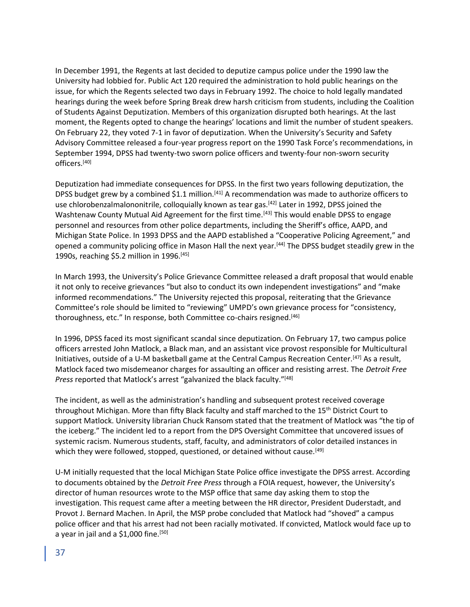In December 1991, the Regents at last decided to deputize campus police under the 1990 law the University had lobbied for. Public Act 120 required the administration to hold public hearings on the issue, for which the Regents selected two days in February 1992. The choice to hold legally mandated hearings during the week before Spring Break drew harsh criticism from students, including the Coalition of Students Against Deputization. Members of this organization disrupted both hearings. At the last moment, the Regents opted to change the hearings' locations and limit the number of student speakers. On February 22, they voted 7-1 in favor of deputization. When the University's Security and Safety Advisory Committee released a four-year progress report on the 1990 Task Force's recommendations, in September 1994, DPSS had twenty-two sworn police officers and twenty-four non-sworn security officers.[40]

Deputization had immediate consequences for DPSS. In the first two years following deputization, the DPSS budget grew by a combined \$1.1 million.<sup>[41]</sup> A recommendation was made to authorize officers to use chlorobenzalmalononitrile, colloquially known as tear gas.<sup>[42]</sup> Later in 1992, DPSS joined the Washtenaw County Mutual Aid Agreement for the first time.<sup>[43]</sup> This would enable DPSS to engage personnel and resources from other police departments, including the Sheriff's office, AAPD, and Michigan State Police. In 1993 DPSS and the AAPD established a "Cooperative Policing Agreement," and opened a community policing office in Mason Hall the next year.[44] The DPSS budget steadily grew in the 1990s, reaching \$5.2 million in 1996.[45]

In March 1993, the University's Police Grievance Committee released a draft proposal that would enable it not only to receive grievances "but also to conduct its own independent investigations" and "make informed recommendations." The University rejected this proposal, reiterating that the Grievance Committee's role should be limited to "reviewing" UMPD's own grievance process for "consistency, thoroughness, etc." In response, both Committee co-chairs resigned.[46]

In 1996, DPSS faced its most significant scandal since deputization. On February 17, two campus police officers arrested John Matlock, a Black man, and an assistant vice provost responsible for Multicultural Initiatives, outside of a U-M basketball game at the Central Campus Recreation Center.[47] As a result, Matlock faced two misdemeanor charges for assaulting an officer and resisting arrest. The *Detroit Free Press* reported that Matlock's arrest "galvanized the black faculty."[48]

The incident, as well as the administration's handling and subsequent protest received coverage throughout Michigan. More than fifty Black faculty and staff marched to the 15<sup>th</sup> District Court to support Matlock. University librarian Chuck Ransom stated that the treatment of Matlock was "the tip of the iceberg." The incident led to a report from the DPS Oversight Committee that uncovered issues of systemic racism. Numerous students, staff, faculty, and administrators of color detailed instances in which they were followed, stopped, questioned, or detained without cause.<sup>[49]</sup>

U-M initially requested that the local Michigan State Police office investigate the DPSS arrest. According to documents obtained by the *Detroit Free Press* through a FOIA request, however, the University's director of human resources wrote to the MSP office that same day asking them to stop the investigation. This request came after a meeting between the HR director, President Duderstadt, and Provot J. Bernard Machen. In April, the MSP probe concluded that Matlock had "shoved" a campus police officer and that his arrest had not been racially motivated. If convicted, Matlock would face up to a year in jail and a  $$1,000$  fine.<sup>[50]</sup>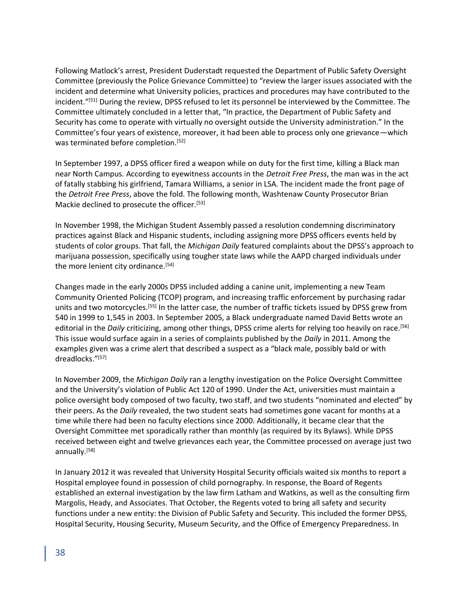Following Matlock's arrest, President Duderstadt requested the Department of Public Safety Oversight Committee (previously the Police Grievance Committee) to "review the larger issues associated with the incident and determine what University policies, practices and procedures may have contributed to the incident."[51] During the review, DPSS refused to let its personnel be interviewed by the Committee. The Committee ultimately concluded in a letter that, "In practice, the Department of Public Safety and Security has come to operate with virtually no oversight outside the University administration." In the Committee's four years of existence, moreover, it had been able to process only one grievance—which was terminated before completion.<sup>[52]</sup>

In September 1997, a DPSS officer fired a weapon while on duty for the first time, killing a Black man near North Campus. According to eyewitness accounts in the *Detroit Free Press*, the man was in the act of fatally stabbing his girlfriend, Tamara Williams, a senior in LSA. The incident made the front page of the *Detroit Free Press*, above the fold. The following month, Washtenaw County Prosecutor Brian Mackie declined to prosecute the officer.<sup>[53]</sup>

In November 1998, the Michigan Student Assembly passed a resolution condemning discriminatory practices against Black and Hispanic students, including assigning more DPSS officers events held by students of color groups. That fall, the *Michigan Daily* featured complaints about the DPSS's approach to marijuana possession, specifically using tougher state laws while the AAPD charged individuals under the more lenient city ordinance.<sup>[54]</sup>

Changes made in the early 2000s DPSS included adding a canine unit, implementing a new Team Community Oriented Policing (TCOP) program, and increasing traffic enforcement by purchasing radar units and two motorcycles.<sup>[55]</sup> In the latter case, the number of traffic tickets issued by DPSS grew from 540 in 1999 to 1,545 in 2003. In September 2005, a Black undergraduate named David Betts wrote an editorial in the *Daily* criticizing, among other things, DPSS crime alerts for relying too heavily on race.<sup>[56]</sup> This issue would surface again in a series of complaints published by the *Daily* in 2011. Among the examples given was a crime alert that described a suspect as a "black male, possibly bald or with dreadlocks."[57]

In November 2009, the *Michigan Daily* ran a lengthy investigation on the Police Oversight Committee and the University's violation of Public Act 120 of 1990. Under the Act, universities must maintain a police oversight body composed of two faculty, two staff, and two students "nominated and elected" by their peers. As the *Daily* revealed, the two student seats had sometimes gone vacant for months at a time while there had been no faculty elections since 2000. Additionally, it became clear that the Oversight Committee met sporadically rather than monthly (as required by its Bylaws). While DPSS received between eight and twelve grievances each year, the Committee processed on average just two annually.[58]

In January 2012 it was revealed that University Hospital Security officials waited six months to report a Hospital employee found in possession of child pornography. In response, the Board of Regents established an external investigation by the law firm Latham and Watkins, as well as the consulting firm Margolis, Heady, and Associates. That October, the Regents voted to bring all safety and security functions under a new entity: the Division of Public Safety and Security. This included the former DPSS, Hospital Security, Housing Security, Museum Security, and the Office of Emergency Preparedness. In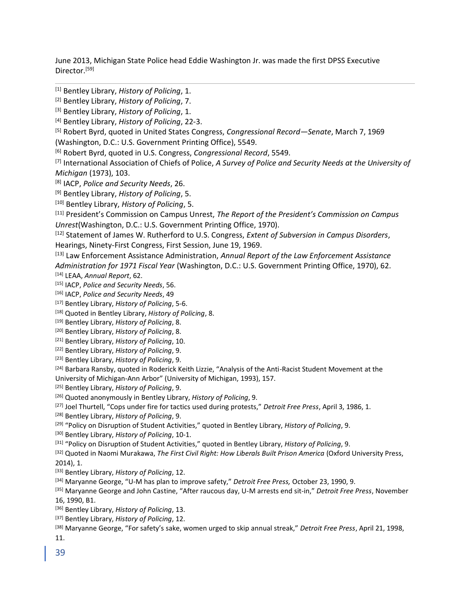June 2013, Michigan State Police head Eddie Washington Jr. was made the first DPSS Executive Director.[59]

[1] Bentley Library, *History of Policing*, 1.

[6] Robert Byrd, quoted in U.S. Congress, *Congressional Record*, 5549.

[7] International Association of Chiefs of Police, *A Survey of Police and Security Needs at the University of Michigan* (1973), 103.

[8] IACP, *Police and Security Needs*, 26.

[9] Bentley Library, *History of Policing*, 5.

[10] Bentley Library, *History of Policing*, 5.

[11] President's Commission on Campus Unrest, *The Report of the President's Commission on Campus Unrest*(Washington, D.C.: U.S. Government Printing Office, 1970).

[12] Statement of James W. Rutherford to U.S. Congress, *Extent of Subversion in Campus Disorders*, Hearings, Ninety-First Congress, First Session, June 19, 1969.

[13] Law Enforcement Assistance Administration, *Annual Report of the Law Enforcement Assistance Administration for 1971 Fiscal Year* (Washington, D.C.: U.S. Government Printing Office, 1970), 62. [14] LEAA, *Annual Report*, 62.

[15] IACP, *Police and Security Needs*, 56.

[16] IACP, *Police and Security Needs*, 49

[17] Bentley Library, *History of Policing*, 5-6.

[18] Quoted in Bentley Library, *History of Policing*, 8.

[19] Bentley Library, *History of Policing*, 8.

[20] Bentley Library, *History of Policing*, 8.

[21] Bentley Library, *History of Policing*, 10.

[22] Bentley Library, *History of Policing*, 9.

[23] Bentley Library, *History of Policing*, 9.

[24] Barbara Ransby, quoted in Roderick Keith Lizzie, "Analysis of the Anti-Racist Student Movement at the University of Michigan-Ann Arbor" (University of Michigan, 1993), 157.

[25] Bentley Library, *History of Policing*, 9.

[26] Quoted anonymously in Bentley Library, *History of Policing*, 9.

[27] Joel Thurtell, "Cops under fire for tactics used during protests," *Detroit Free Press*, April 3, 1986, 1.

[28] Bentley Library, *History of Policing*, 9.

[29] "Policy on Disruption of Student Activities," quoted in Bentley Library, *History of Policing*, 9.

[30] Bentley Library, *History of Policing*, 10-1.

[31] "Policy on Disruption of Student Activities," quoted in Bentley Library, *History of Policing*, 9.

[32] Quoted in Naomi Murakawa, *The First Civil Right: How Liberals Built Prison America* (Oxford University Press, 2014), 1.

[33] Bentley Library, *History of Policing*, 12.

[34] Maryanne George, "U-M has plan to improve safety," *Detroit Free Press,* October 23, 1990, 9.

[35] Maryanne George and John Castine, "After raucous day, U-M arrests end sit-in," *Detroit Free Press*, November 16, 1990, B1.

[36] Bentley Library, *History of Policing*, 13.

[37] Bentley Library, *History of Policing*, 12.

[38] Maryanne George, "For safety's sake, women urged to skip annual streak," *Detroit Free Press*, April 21, 1998, 11.

39

<sup>[2]</sup> Bentley Library, *History of Policing*, 7.

<sup>[3]</sup> Bentley Library, *History of Policing*, 1.

<sup>[4]</sup> Bentley Library, *History of Policing*, 22-3.

<sup>[5]</sup> Robert Byrd, quoted in United States Congress, *Congressional Record—Senate*, March 7, 1969 (Washington, D.C.: U.S. Government Printing Office), 5549.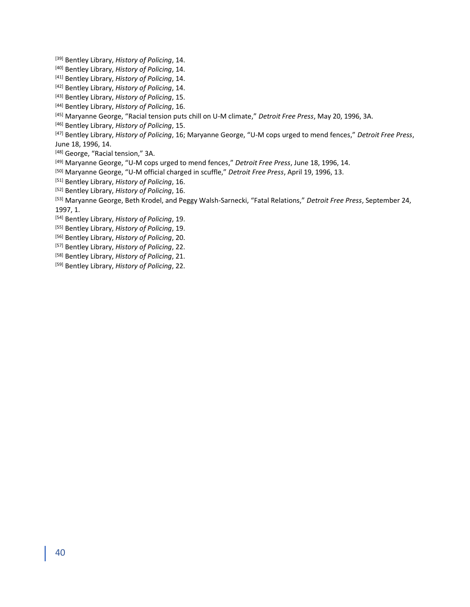[39] Bentley Library, *History of Policing*, 14.

[40] Bentley Library, *History of Policing*, 14.

[41] Bentley Library, *History of Policing*, 14.

[42] Bentley Library, *History of Policing*, 14.

[43] Bentley Library, *History of Policing*, 15.

[44] Bentley Library, *History of Policing*, 16.

[45] Maryanne George, "Racial tension puts chill on U-M climate," *Detroit Free Press*, May 20, 1996, 3A.

[46] Bentley Library, *History of Policing*, 15.

[47] Bentley Library, *History of Policing*, 16; Maryanne George, "U-M cops urged to mend fences," *Detroit Free Press*, June 18, 1996, 14.

[48] George, "Racial tension," 3A.

[49] Maryanne George, "U-M cops urged to mend fences," *Detroit Free Press*, June 18, 1996, 14.

[50] Maryanne George, "U-M official charged in scuffle," *Detroit Free Press*, April 19, 1996, 13.

[51] Bentley Library, *History of Policing*, 16.

[52] Bentley Library, *History of Policing*, 16.

[53] Maryanne George, Beth Krodel, and Peggy Walsh-Sarnecki, "Fatal Relations," *Detroit Free Press*, September 24, 1997, 1.

[54] Bentley Library, *History of Policing*, 19.

[55] Bentley Library, *History of Policing*, 19.

[56] Bentley Library, *History of Policing*, 20.

[57] Bentley Library, *History of Policing*, 22.

[58] Bentley Library, *History of Policing*, 21.

[59] Bentley Library, *History of Policing*, 22.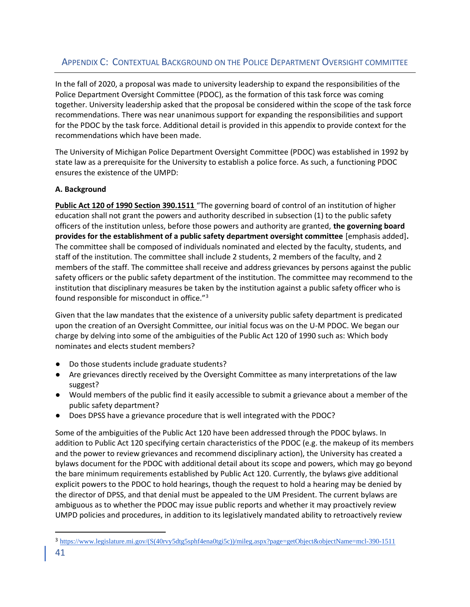# APPENDIX C: CONTEXTUAL BACKGROUND ON THE POLICE DEPARTMENT OVERSIGHT COMMITTEE

In the fall of 2020, a proposal was made to university leadership to expand the responsibilities of the Police Department Oversight Committee (PDOC), as the formation of this task force was coming together. University leadership asked that the proposal be considered within the scope of the task force recommendations. There was near unanimous support for expanding the responsibilities and support for the PDOC by the task force. Additional detail is provided in this appendix to provide context for the recommendations which have been made.

The University of Michigan Police Department Oversight Committee (PDOC) was established in 1992 by state law as a prerequisite for the University to establish a police force. As such, a functioning PDOC ensures the existence of the UMPD:

## **A. Background**

**Public Act 120 of 1990 Section 390.1511** "The governing board of control of an institution of higher education shall not grant the powers and authority described in subsection (1) to the public safety officers of the institution unless, before those powers and authority are granted, **the governing board provides for the establishment of a public safety department oversight committee** [emphasis added]**.** The committee shall be composed of individuals nominated and elected by the faculty, students, and staff of the institution. The committee shall include 2 students, 2 members of the faculty, and 2 members of the staff. The committee shall receive and address grievances by persons against the public safety officers or the public safety department of the institution. The committee may recommend to the institution that disciplinary measures be taken by the institution against a public safety officer who is found responsible for misconduct in office."<sup>3</sup>

Given that the law mandates that the existence of a university public safety department is predicated upon the creation of an Oversight Committee, our initial focus was on the U-M PDOC. We began our charge by delving into some of the ambiguities of the Public Act 120 of 1990 such as: Which body nominates and elects student members?

- Do those students include graduate students?
- Are grievances directly received by the Oversight Committee as many interpretations of the law suggest?
- Would members of the public find it easily accessible to submit a grievance about a member of the public safety department?
- Does DPSS have a grievance procedure that is well integrated with the PDOC?

Some of the ambiguities of the Public Act 120 have been addressed through the PDOC bylaws. In addition to Public Act 120 specifying certain characteristics of the PDOC (e.g. the makeup of its members and the power to review grievances and recommend disciplinary action), the University has created a bylaws document for the PDOC with additional detail about its scope and powers, which may go beyond the bare minimum requirements established by Public Act 120. Currently, the bylaws give additional explicit powers to the PDOC to hold hearings, though the request to hold a hearing may be denied by the director of DPSS, and that denial must be appealed to the UM President. The current bylaws are ambiguous as to whether the PDOC may issue public reports and whether it may proactively review UMPD policies and procedures, in addition to its legislatively mandated ability to retroactively review

<sup>3</sup> [https://www.legislature.mi.gov/\(S\(40rvy5dtg5sphf4ena0tgi5c\)\)/mileg.aspx?page=getObject&objectName=mcl-390-1511](https://www.legislature.mi.gov/(S(40rvy5dtg5sphf4ena0tgi5c))/mileg.aspx?page=getObject&objectName=mcl-390-1511)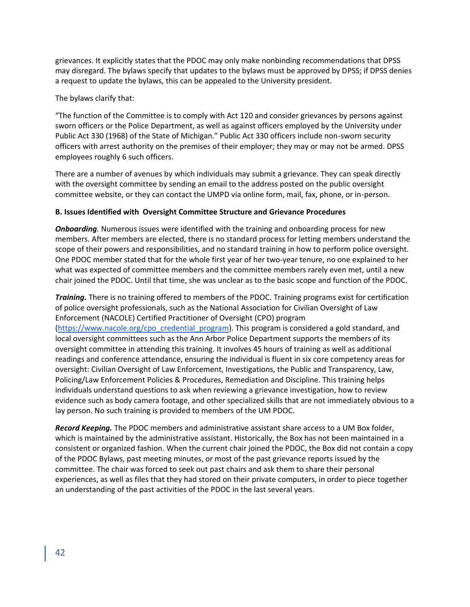grievances. It explicitly states that the PDOC may only make nonbinding recommendations that DPSS may disregard. The bylaws specify that updates to the bylaws must be approved by DPSS; if DPSS denies a request to update the bylaws, this can be appealed to the University president.

The bylaws clarify that:

"The function of the Committee is to comply with Act 120 and consider grievances by persons against sworn officers or the Police Department, as well as against officers employed by the University under Public Act 330 (1968) of the State of Michigan." Public Act 330 officers include non-sworn security officers with arrest authority on the premises of their employer; they may or may not be armed. DPSS employees roughly 6 such officers.

There are a number of avenues by which individuals may submit a grievance. They can speak directly with the oversight committee by sending an email to the address posted on the public oversight committee website, or they can contact the UMPD via online form, mail, fax, phone, or in-person.

## **B. Issues Identified with Oversight Committee Structure and Grievance Procedures**

*Onboarding*. Numerous issues were identified with the training and onboarding process for new members. After members are elected, there is no standard process for letting members understand the scope of their powers and responsibilities, and no standard training in how to perform police oversight. One PDOC member stated that for the whole first year of her two-year tenure, no one explained to her what was expected of committee members and the committee members rarely even met, until a new chair joined the PDOC. Until that time, she was unclear as to the basic scope and function of the PDOC.

*Training.* There is no training offered to members of the PDOC. Training programs exist for certification of police oversight professionals, such as the National Association for Civilian Oversight of Law Enforcement (NACOLE) Certified Practitioner of Oversight (CPO) program [\(https://www.nacole.org/cpo\\_credential\\_program\)](https://www.nacole.org/cpo_credential_program). This program is considered a gold standard, and local oversight committees such as the Ann Arbor Police Department supports the members of its oversight committee in attending this training. It involves 45 hours of training as well as additional readings and conference attendance, ensuring the individual is fluent in six core competency areas for oversight: Civilian Oversight of Law Enforcement, Investigations, the Public and Transparency, Law, Policing/Law Enforcement Policies & Procedures, Remediation and Discipline. This training helps individuals understand questions to ask when reviewing a grievance investigation, how to review evidence such as body camera footage, and other specialized skills that are not immediately obvious to a lay person. No such training is provided to members of the UM PDOC.

*Record Keeping.* The PDOC members and administrative assistant share access to a UM Box folder, which is maintained by the administrative assistant. Historically, the Box has not been maintained in a consistent or organized fashion. When the current chair joined the PDOC, the Box did not contain a copy of the PDOC Bylaws, past meeting minutes, or most of the past grievance reports issued by the committee. The chair was forced to seek out past chairs and ask them to share their personal experiences, as well as files that they had stored on their private computers, in order to piece together an understanding of the past activities of the PDOC in the last several years.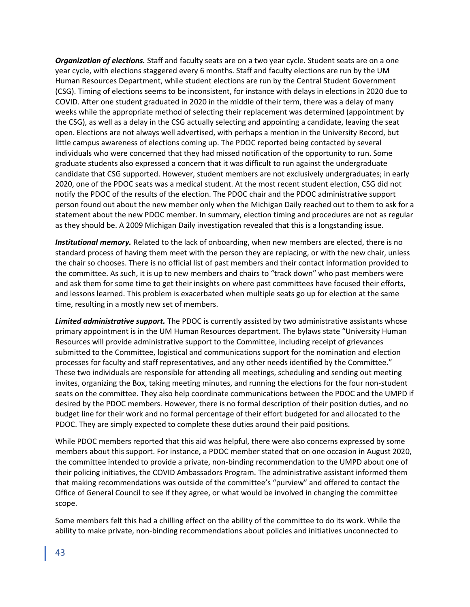*Organization of elections.* Staff and faculty seats are on a two year cycle. Student seats are on a one year cycle, with elections staggered every 6 months. Staff and faculty elections are run by the UM Human Resources Department, while student elections are run by the Central Student Government (CSG). Timing of elections seems to be inconsistent, for instance with delays in elections in 2020 due to COVID. After one student graduated in 2020 in the middle of their term, there was a delay of many weeks while the appropriate method of selecting their replacement was determined (appointment by the CSG), as well as a delay in the CSG actually selecting and appointing a candidate, leaving the seat open. Elections are not always well advertised, with perhaps a mention in the University Record, but little campus awareness of elections coming up. The PDOC reported being contacted by several individuals who were concerned that they had missed notification of the opportunity to run. Some graduate students also expressed a concern that it was difficult to run against the undergraduate candidate that CSG supported. However, student members are not exclusively undergraduates; in early 2020, one of the PDOC seats was a medical student. At the most recent student election, CSG did not notify the PDOC of the results of the election. The PDOC chair and the PDOC administrative support person found out about the new member only when the Michigan Daily reached out to them to ask for a statement about the new PDOC member. In summary, election timing and procedures are not as regular as they should be. A 2009 Michigan Daily investigation revealed that this is a longstanding issue.

*Institutional memory.* Related to the lack of onboarding, when new members are elected, there is no standard process of having them meet with the person they are replacing, or with the new chair, unless the chair so chooses. There is no official list of past members and their contact information provided to the committee. As such, it is up to new members and chairs to "track down" who past members were and ask them for some time to get their insights on where past committees have focused their efforts, and lessons learned. This problem is exacerbated when multiple seats go up for election at the same time, resulting in a mostly new set of members.

*Limited administrative support.* The PDOC is currently assisted by two administrative assistants whose primary appointment is in the UM Human Resources department. The bylaws state "University Human Resources will provide administrative support to the Committee, including receipt of grievances submitted to the Committee, logistical and communications support for the nomination and election processes for faculty and staff representatives, and any other needs identified by the Committee." These two individuals are responsible for attending all meetings, scheduling and sending out meeting invites, organizing the Box, taking meeting minutes, and running the elections for the four non-student seats on the committee. They also help coordinate communications between the PDOC and the UMPD if desired by the PDOC members. However, there is no formal description of their position duties, and no budget line for their work and no formal percentage of their effort budgeted for and allocated to the PDOC. They are simply expected to complete these duties around their paid positions.

While PDOC members reported that this aid was helpful, there were also concerns expressed by some members about this support. For instance, a PDOC member stated that on one occasion in August 2020, the committee intended to provide a private, non-binding recommendation to the UMPD about one of their policing initiatives, the COVID Ambassadors Program. The administrative assistant informed them that making recommendations was outside of the committee's "purview" and offered to contact the Office of General Council to see if they agree, or what would be involved in changing the committee scope.

Some members felt this had a chilling effect on the ability of the committee to do its work. While the ability to make private, non-binding recommendations about policies and initiatives unconnected to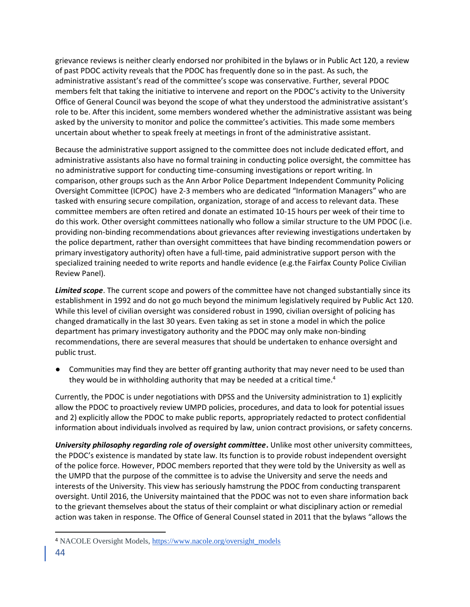grievance reviews is neither clearly endorsed nor prohibited in the bylaws or in Public Act 120, a review of past PDOC activity reveals that the PDOC has frequently done so in the past. As such, the administrative assistant's read of the committee's scope was conservative. Further, several PDOC members felt that taking the initiative to intervene and report on the PDOC's activity to the University Office of General Council was beyond the scope of what they understood the administrative assistant's role to be. After this incident, some members wondered whether the administrative assistant was being asked by the university to monitor and police the committee's activities. This made some members uncertain about whether to speak freely at meetings in front of the administrative assistant.

Because the administrative support assigned to the committee does not include dedicated effort, and administrative assistants also have no formal training in conducting police oversight, the committee has no administrative support for conducting time-consuming investigations or report writing. In comparison, other groups such as the Ann Arbor Police Department Independent Community Policing Oversight Committee (ICPOC) have 2-3 members who are dedicated "Information Managers" who are tasked with ensuring secure compilation, organization, storage of and access to relevant data. These committee members are often retired and donate an estimated 10-15 hours per week of their time to do this work. Other oversight committees nationally who follow a similar structure to the UM PDOC (i.e. providing non-binding recommendations about grievances after reviewing investigations undertaken by the police department, rather than oversight committees that have binding recommendation powers or primary investigatory authority) often have a full-time, paid administrative support person with the specialized training needed to write reports and handle evidence (e.g.the Fairfax County Police Civilian Review Panel).

*Limited scope*. The current scope and powers of the committee have not changed substantially since its establishment in 1992 and do not go much beyond the minimum legislatively required by Public Act 120. While this level of civilian oversight was considered robust in 1990, civilian oversight of policing has changed dramatically in the last 30 years. Even taking as set in stone a model in which the police department has primary investigatory authority and the PDOC may only make non-binding recommendations, there are several measures that should be undertaken to enhance oversight and public trust.

● Communities may find they are better off granting authority that may never need to be used than they would be in withholding authority that may be needed at a critical time.<sup>4</sup>

Currently, the PDOC is under negotiations with DPSS and the University administration to 1) explicitly allow the PDOC to proactively review UMPD policies, procedures, and data to look for potential issues and 2) explicitly allow the PDOC to make public reports, appropriately redacted to protect confidential information about individuals involved as required by law, union contract provisions, or safety concerns.

*University philosophy regarding role of oversight committee*. Unlike most other university committees, the PDOC's existence is mandated by state law. Its function is to provide robust independent oversight of the police force. However, PDOC members reported that they were told by the University as well as the UMPD that the purpose of the committee is to advise the University and serve the needs and interests of the University. This view has seriously hamstrung the PDOC from conducting transparent oversight. Until 2016, the University maintained that the PDOC was not to even share information back to the grievant themselves about the status of their complaint or what disciplinary action or remedial action was taken in response. The Office of General Counsel stated in 2011 that the bylaws "allows the

<sup>4</sup> NACOLE Oversight Models, [https://www.nacole.org/oversight\\_models](https://www.nacole.org/oversight_models)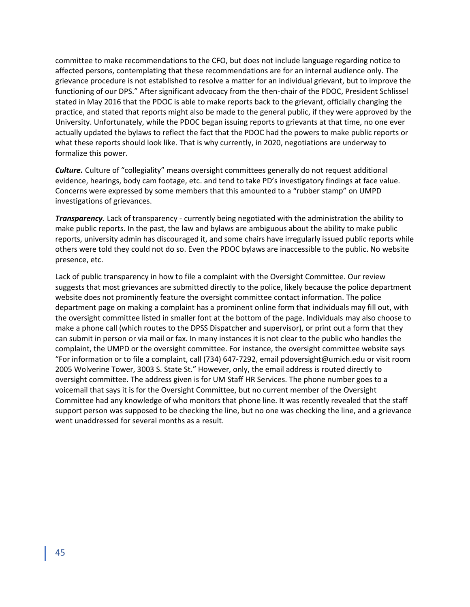committee to make recommendations to the CFO, but does not include language regarding notice to affected persons, contemplating that these recommendations are for an internal audience only. The grievance procedure is not established to resolve a matter for an individual grievant, but to improve the functioning of our DPS." After significant advocacy from the then-chair of the PDOC, President Schlissel stated in May 2016 that the PDOC is able to make reports back to the grievant, officially changing the practice, and stated that reports might also be made to the general public, if they were approved by the University. Unfortunately, while the PDOC began issuing reports to grievants at that time, no one ever actually updated the bylaws to reflect the fact that the PDOC had the powers to make public reports or what these reports should look like. That is why currently, in 2020, negotiations are underway to formalize this power.

*Culture.* Culture of "collegiality" means oversight committees generally do not request additional evidence, hearings, body cam footage, etc. and tend to take PD's investigatory findings at face value. Concerns were expressed by some members that this amounted to a "rubber stamp" on UMPD investigations of grievances.

*Transparency.* Lack of transparency - currently being negotiated with the administration the ability to make public reports. In the past, the law and bylaws are ambiguous about the ability to make public reports, university admin has discouraged it, and some chairs have irregularly issued public reports while others were told they could not do so. Even the PDOC bylaws are inaccessible to the public. No website presence, etc.

Lack of public transparency in how to file a complaint with the Oversight Committee. Our review suggests that most grievances are submitted directly to the police, likely because the police department website does not prominently feature the oversight committee contact information. The police department page on making a complaint has a prominent online form that individuals may fill out, with the oversight committee listed in smaller font at the bottom of the page. Individuals may also choose to make a phone call (which routes to the DPSS Dispatcher and supervisor), or print out a form that they can submit in person or via mail or fax. In many instances it is not clear to the public who handles the complaint, the UMPD or the oversight committee. For instance, the oversight committee website says "For information or to file a complaint, call (734) 647-7292, email pdoversight@umich.edu or visit room 2005 Wolverine Tower, 3003 S. State St." However, only, the email address is routed directly to oversight committee. The address given is for UM Staff HR Services. The phone number goes to a voicemail that says it is for the Oversight Committee, but no current member of the Oversight Committee had any knowledge of who monitors that phone line. It was recently revealed that the staff support person was supposed to be checking the line, but no one was checking the line, and a grievance went unaddressed for several months as a result.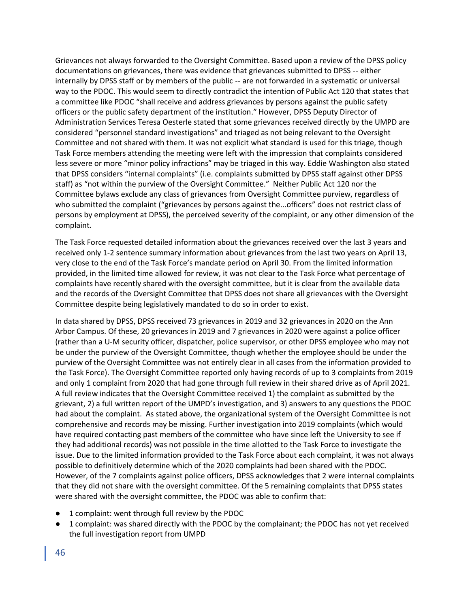Grievances not always forwarded to the Oversight Committee. Based upon a review of the DPSS policy documentations on grievances, there was evidence that grievances submitted to DPSS -- either internally by DPSS staff or by members of the public -- are not forwarded in a systematic or universal way to the PDOC. This would seem to directly contradict the intention of Public Act 120 that states that a committee like PDOC "shall receive and address grievances by persons against the public safety officers or the public safety department of the institution." However, DPSS Deputy Director of Administration Services Teresa Oesterle stated that some grievances received directly by the UMPD are considered "personnel standard investigations" and triaged as not being relevant to the Oversight Committee and not shared with them. It was not explicit what standard is used for this triage, though Task Force members attending the meeting were left with the impression that complaints considered less severe or more "minor policy infractions" may be triaged in this way. Eddie Washington also stated that DPSS considers "internal complaints" (i.e. complaints submitted by DPSS staff against other DPSS staff) as "not within the purview of the Oversight Committee." Neither Public Act 120 nor the Committee bylaws exclude any class of grievances from Oversight Committee purview, regardless of who submitted the complaint ("grievances by persons against the...officers" does not restrict class of persons by employment at DPSS), the perceived severity of the complaint, or any other dimension of the complaint.

The Task Force requested detailed information about the grievances received over the last 3 years and received only 1-2 sentence summary information about grievances from the last two years on April 13, very close to the end of the Task Force's mandate period on April 30. From the limited information provided, in the limited time allowed for review, it was not clear to the Task Force what percentage of complaints have recently shared with the oversight committee, but it is clear from the available data and the records of the Oversight Committee that DPSS does not share all grievances with the Oversight Committee despite being legislatively mandated to do so in order to exist.

In data shared by DPSS, DPSS received 73 grievances in 2019 and 32 grievances in 2020 on the Ann Arbor Campus. Of these, 20 grievances in 2019 and 7 grievances in 2020 were against a police officer (rather than a U-M security officer, dispatcher, police supervisor, or other DPSS employee who may not be under the purview of the Oversight Committee, though whether the employee should be under the purview of the Oversight Committee was not entirely clear in all cases from the information provided to the Task Force). The Oversight Committee reported only having records of up to 3 complaints from 2019 and only 1 complaint from 2020 that had gone through full review in their shared drive as of April 2021. A full review indicates that the Oversight Committee received 1) the complaint as submitted by the grievant, 2) a full written report of the UMPD's investigation, and 3) answers to any questions the PDOC had about the complaint. As stated above, the organizational system of the Oversight Committee is not comprehensive and records may be missing. Further investigation into 2019 complaints (which would have required contacting past members of the committee who have since left the University to see if they had additional records) was not possible in the time allotted to the Task Force to investigate the issue. Due to the limited information provided to the Task Force about each complaint, it was not always possible to definitively determine which of the 2020 complaints had been shared with the PDOC. However, of the 7 complaints against police officers, DPSS acknowledges that 2 were internal complaints that they did not share with the oversight committee. Of the 5 remaining complaints that DPSS states were shared with the oversight committee, the PDOC was able to confirm that:

- 1 complaint: went through full review by the PDOC
- 1 complaint: was shared directly with the PDOC by the complainant; the PDOC has not yet received the full investigation report from UMPD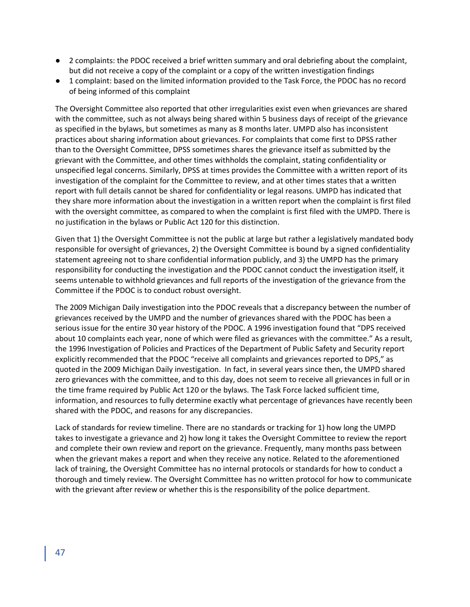- 2 complaints: the PDOC received a brief written summary and oral debriefing about the complaint, but did not receive a copy of the complaint or a copy of the written investigation findings
- 1 complaint: based on the limited information provided to the Task Force, the PDOC has no record of being informed of this complaint

The Oversight Committee also reported that other irregularities exist even when grievances are shared with the committee, such as not always being shared within 5 business days of receipt of the grievance as specified in the bylaws, but sometimes as many as 8 months later. UMPD also has inconsistent practices about sharing information about grievances. For complaints that come first to DPSS rather than to the Oversight Committee, DPSS sometimes shares the grievance itself as submitted by the grievant with the Committee, and other times withholds the complaint, stating confidentiality or unspecified legal concerns. Similarly, DPSS at times provides the Committee with a written report of its investigation of the complaint for the Committee to review, and at other times states that a written report with full details cannot be shared for confidentiality or legal reasons. UMPD has indicated that they share more information about the investigation in a written report when the complaint is first filed with the oversight committee, as compared to when the complaint is first filed with the UMPD. There is no justification in the bylaws or Public Act 120 for this distinction.

Given that 1) the Oversight Committee is not the public at large but rather a legislatively mandated body responsible for oversight of grievances, 2) the Oversight Committee is bound by a signed confidentiality statement agreeing not to share confidential information publicly, and 3) the UMPD has the primary responsibility for conducting the investigation and the PDOC cannot conduct the investigation itself, it seems untenable to withhold grievances and full reports of the investigation of the grievance from the Committee if the PDOC is to conduct robust oversight.

The 2009 Michigan Daily investigation into the PDOC reveals that a discrepancy between the number of grievances received by the UMPD and the number of grievances shared with the PDOC has been a serious issue for the entire 30 year history of the PDOC. A 1996 investigation found that "DPS received about 10 complaints each year, none of which were filed as grievances with the committee." As a result, the 1996 Investigation of Policies and Practices of the Department of Public Safety and Security report explicitly recommended that the PDOC "receive all complaints and grievances reported to DPS," as quoted in the 2009 Michigan Daily investigation. In fact, in several years since then, the UMPD shared zero grievances with the committee, and to this day, does not seem to receive all grievances in full or in the time frame required by Public Act 120 or the bylaws. The Task Force lacked sufficient time, information, and resources to fully determine exactly what percentage of grievances have recently been shared with the PDOC, and reasons for any discrepancies.

Lack of standards for review timeline. There are no standards or tracking for 1) how long the UMPD takes to investigate a grievance and 2) how long it takes the Oversight Committee to review the report and complete their own review and report on the grievance. Frequently, many months pass between when the grievant makes a report and when they receive any notice. Related to the aforementioned lack of training, the Oversight Committee has no internal protocols or standards for how to conduct a thorough and timely review. The Oversight Committee has no written protocol for how to communicate with the grievant after review or whether this is the responsibility of the police department.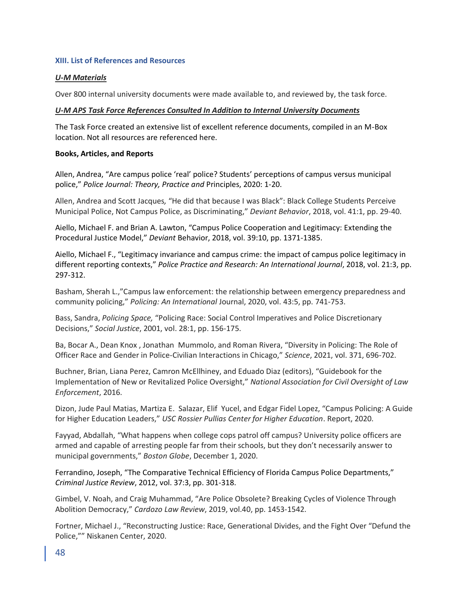## **XIII. List of References and Resources**

## *U-M Materials*

Over 800 internal university documents were made available to, and reviewed by, the task force.

## *U-M APS Task Force References Consulted In Addition to Internal University Documents*

The Task Force created an extensive list of excellent reference documents, compiled in an M-Box location. Not all resources are referenced here.

## **Books, Articles, and Reports**

Allen, Andrea, "Are campus police 'real' police? Students' perceptions of campus versus municipal police," *Police Journal: Theory, Practice and* Principles, 2020: 1-20.

Allen, Andrea and Scott Jacques*,* "He did that because I was Black": Black College Students Perceive Municipal Police, Not Campus Police, as Discriminating," *Deviant Behavior*, 2018, vol. 41:1, pp. 29-40.

Aiello, Michael F. and Brian A. Lawton, "Campus Police Cooperation and Legitimacy: Extending the Procedural Justice Model," *Deviant* Behavior, 2018, vol. 39:10, pp. 1371-1385.

Aiello, Michael F., "Legitimacy invariance and campus crime: the impact of campus police legitimacy in different reporting contexts," *Police Practice and Research: An International Journal*, 2018, vol. 21:3, pp. 297-312.

Basham, Sherah L.,"Campus law enforcement: the relationship between emergency preparedness and community policing," *Policing: An International* Journal, 2020, vol. 43:5, pp. 741-753.

Bass, Sandra, *Policing Space,* "Policing Race: Social Control Imperatives and Police Discretionary Decisions," *Social Justice*, 2001, vol. 28:1, pp. 156-175.

Ba, Bocar A., Dean Knox , Jonathan Mummolo, and Roman Rivera, "Diversity in Policing: The Role of Officer Race and Gender in Police-Civilian Interactions in Chicago," *Science*, 2021, vol. 371, 696-702.

Buchner, Brian, Liana Perez, Camron McEllhiney, and Eduado Diaz (editors), "Guidebook for the Implementation of New or Revitalized Police Oversight," *National Association for Civil Oversight of Law Enforcement*, 2016.

Dizon, Jude Paul Matias, Martiza E. Salazar, Elif Yucel, and Edgar Fidel Lopez, "Campus Policing: A Guide for Higher Education Leaders," *USC Rossier Pullias Center for Higher Education*. Report, 2020.

Fayyad, Abdallah, "What happens when college cops patrol off campus? University police officers are armed and capable of arresting people far from their schools, but they don't necessarily answer to municipal governments," *Boston Globe*, December 1, 2020.

Ferrandino, Joseph, "The Comparative Technical Efficiency of Florida Campus Police Departments," *Criminal Justice Review*, 2012, vol. 37:3, pp. 301-318.

Gimbel, V. Noah, and Craig Muhammad, "Are Police Obsolete? Breaking Cycles of Violence Through Abolition Democracy," *Cardozo Law Review*, 2019, vol.40, pp. 1453-1542.

Fortner, Michael J., "Reconstructing Justice: Race, Generational Divides, and the Fight Over "Defund the Police,"" Niskanen Center, 2020.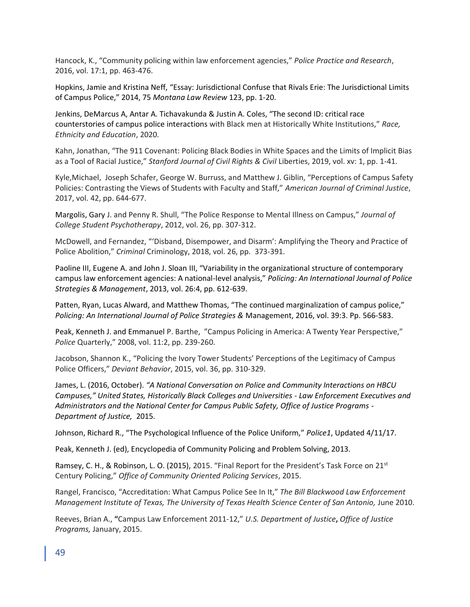Hancock, K., "Community policing within law enforcement agencies," *Police Practice and Research*, 2016, vol. 17:1, pp. 463-476.

Hopkins, Jamie and Kristina Neff, "Essay: Jurisdictional Confuse that Rivals Erie: The Jurisdictional Limits of Campus Police," 2014, 75 *Montana Law Review* 123, pp. 1-20.

Jenkins, DeMarcus A, Antar A. Tichavakunda & Justin A. Coles, "The second ID: critical race counterstories of campus police interactions with Black men at Historically White Institutions," *Race, Ethnicity and Education*, 2020.

Kahn, Jonathan, "The 911 Covenant: Policing Black Bodies in White Spaces and the Limits of Implicit Bias as a Tool of Racial Justice," *Stanford Journal of Civil Rights & Civil* Liberties, 2019, vol. xv: 1, pp. 1-41.

Kyle,Michael, Joseph Schafer, George W. Burruss, and Matthew J. Giblin, "Perceptions of Campus Safety Policies: Contrasting the Views of Students with Faculty and Staff," *American Journal of Criminal Justice*, 2017, vol. 42, pp. 644-677.

Margolis, Gary J. and Penny R. Shull, "The Police Response to Mental Illness on Campus," *Journal of College Student Psychotherapy*, 2012, vol. 26, pp. 307-312.

McDowell, and Fernandez, "'Disband, Disempower, and Disarm': Amplifying the Theory and Practice of Police Abolition," *Criminal* Criminology, 2018, vol. 26, pp. 373-391.

Paoline III, Eugene A. and John J. Sloan III, "Variability in the organizational structure of contemporary campus law enforcement agencies: A national-level analysis," *Policing: An International Journal of Police Strategies & Management*, 2013, vol. 26:4, pp. 612-639.

Patten, Ryan, Lucas Alward, and Matthew Thomas, "The continued marginalization of campus police," *Policing: An International Journal of Police Strategies &* Management, 2016, vol. 39:3. Pp. 566-583.

Peak, Kenneth J. and Emmanuel P. Barthe, "Campus Policing in America: A Twenty Year Perspective," *Police* Quarterly," 2008, vol. 11:2, pp. 239-260.

Jacobson, Shannon K., "Policing the Ivory Tower Students' Perceptions of the Legitimacy of Campus Police Officers," *Deviant Behavior*, 2015, vol. 36, pp. 310-329.

James, L. (2016, October). *"A National Conversation on Police and Community Interactions on HBCU Campuses," United States, Historically Black Colleges and Universities - Law Enforcement Executives and Administrators and the National Center for Campus Public Safety, Office of Justice Programs - Department of Justice,* 2015.

Johnson, Richard R., "The Psychological Influence of the Police Uniform," *Police1*, Updated 4/11/17.

Peak, Kenneth J. (ed), Encyclopedia of Community Policing and Problem Solving, 2013.

Ramsey, C. H., & Robinson, L. O. (2015), 2015. "Final Report for the President's Task Force on 21st Century Policing," *Office of Community Oriented Policing Services*, 2015.

Rangel, Francisco, "Accreditation: What Campus Police See In It," *The Bill Blackwood Law Enforcement Management Institute of Texas, The University of Texas Health Science Center of San Antonio,* June 2010.

Reeves, Brian A., **"**Campus Law Enforcement 2011-12," *U.S. Department of Justice***,** *Office of Justice Programs,* January, 2015.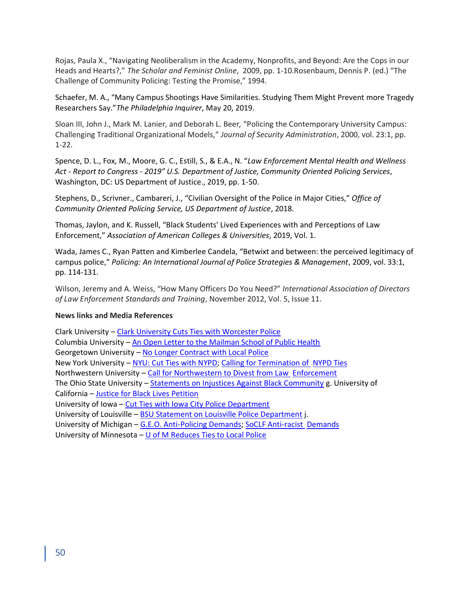Rojas, Paula X., "Navigating Neoliberalism in the Academy, Nonprofits, and Beyond: Are the Cops in our Heads and Hearts?," *The Scholar and Feminist Online*, 2009, pp. 1-10.Rosenbaum, Dennis P. (ed.) "The Challenge of Community Policing: Testing the Promise," 1994.

Schaefer, M. A., "Many Campus Shootings Have Similarities. Studying Them Might Prevent more Tragedy Researchers Say."*The Philadelphia Inquirer*, May 20, 2019.

Sloan III, John J., Mark M. Lanier, and Deborah L. Beer*,* "Policing the Contemporary University Campus: Challenging Traditional Organizational Models," *Journal of Security Administration*, 2000, vol. 23:1, pp. 1-22.

Spence, D. L., Fox, M., Moore, G. C., Estill, S., & E.A., N. "*Law Enforcement Mental Health and Wellness Act - Report to Congress - 2019" U.S. Department of Justice, Community Oriented Policing Services*, Washington, DC: US Department of Justice., 2019, pp. 1-50.

Stephens, D., Scrivner., Cambareri, J., "Civilian Oversight of the Police in Major Cities," *Office of Community Oriented Policing Service, US Department of Justice*, 2018.

Thomas, Jaylon, and K. Russell, "Black Students' Lived Experiences with and Perceptions of Law Enforcement," *Association of American Colleges & Universities*, 2019, Vol. 1.

Wada, James C., Ryan Patten and Kimberlee Candela, "Betwixt and between: the perceived legitimacy of campus police," *Policing: An International Journal of Police Strategies & Management*, 2009, vol. 33:1, pp. 114-131.

Wilson, Jeremy and A. Weiss, "How Many Officers Do You Need?" *International Association of Directors of Law Enforcement Standards and Training*, November 2012, Vol. 5, Issue 11.

## **News links and Media References**

Clark University – [Clark University Cuts Ties with Worcester Police](https://www.wcvb.com/article/clark-university-cuts-ties-with-worcester-police-after-protest/32752777) Columbia University – [An Open Letter to the Mailman School of Public Health](https://docs.google.com/document/d/1C5geL3XVXOgXf6PI5mvAHiTfSzWooV4owBVPRX9QcOc/edit?fbclid=IwAR00uvxLifn5-2IT-X2zfHvIm9nVoZ9ogJSH7_QKrT64ppiFLAcpzS-TIrI) Georgetown University [–](https://www.change.org/p/georgetown-university-georgetown-university-to-no-longer-contract-with-police-department) [No Longer Contract with Local Police](https://www.change.org/p/georgetown-university-georgetown-university-to-no-longer-contract-with-police-department) New York University - NYU: Cut Ties with NYPD; Calling for Termination of NYPD Ties Northwestern University – Call for Northwestern to Divest from Law Enforcement The Ohio State University - Statements on Injustices Against Black Community g. University of California – Justice for Black Lives Petition University of Iowa – Cut Ties with Iowa City Police Department University of Louisville – BSU Statement on Louisville Police Department j. University of Michigan – G.E.O. Anti-Policing Demands; SoCLF Anti-racist Demands University of Minnesota  $-$  U of M Reduces Ties to Local Police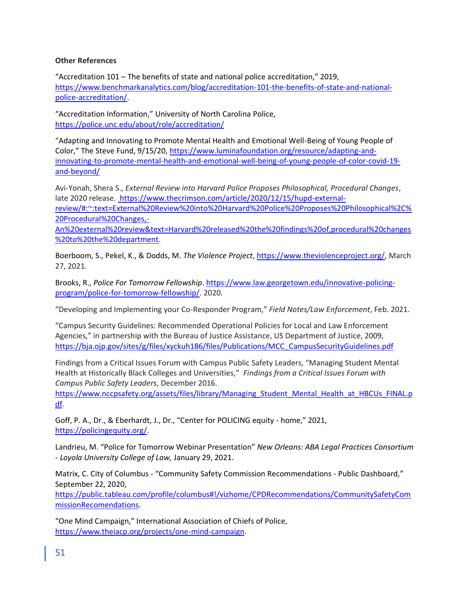## **Other References**

"Accreditation 101 – The benefits of state and national police accreditation," 2019, [https://www.benchmarkanalytics.com/blog/accreditation-101-the-benefits-of-state-and-national](https://www.benchmarkanalytics.com/blog/accreditation-101-the-benefits-of-state-and-national-police-accreditation/)[police-accreditation/.](https://www.benchmarkanalytics.com/blog/accreditation-101-the-benefits-of-state-and-national-police-accreditation/)

"Accreditation Information," University of North Carolina Police, <https://police.unc.edu/about/role/accreditation/>

"Adapting and Innovating to Promote Mental Health and Emotional Well-Being of Young People of Color," The Steve Fund, 9/15/20, [https://www.luminafoundation.org/resource/adapting-and](https://www.luminafoundation.org/resource/adapting-and-innovating-to-promote-mental-health-and-emotional-well-being-of-young-people-of-color-covid-19-and-beyond/)[innovating-to-promote-mental-health-and-emotional-well-being-of-young-people-of-color-covid-19](https://www.luminafoundation.org/resource/adapting-and-innovating-to-promote-mental-health-and-emotional-well-being-of-young-people-of-color-covid-19-and-beyond/) [and-beyond/](https://www.luminafoundation.org/resource/adapting-and-innovating-to-promote-mental-health-and-emotional-well-being-of-young-people-of-color-covid-19-and-beyond/)

Avi-Yonah, Shera S., *External Review into Harvard Police Proposes Philosophical, Procedural Changes*, late 2020 release. [https://www.thecrimson.com/article/2020/12/15/hupd-external](https://www.thecrimson.com/article/2020/12/15/hupd-external-review/#:~:text=External%20Review%20into%20Harvard%20Police%20Proposes%20Philosophical%2C%20Procedural%20Changes,-An%20external%20review&text=Harvard%20released%20the%20findings%20of,procedural%20changes%20to%20the%20department)[review/#:~:text=External%20Review%20into%20Harvard%20Police%20Proposes%20Philosophical%2C%](https://www.thecrimson.com/article/2020/12/15/hupd-external-review/#:~:text=External%20Review%20into%20Harvard%20Police%20Proposes%20Philosophical%2C%20Procedural%20Changes,-An%20external%20review&text=Harvard%20released%20the%20findings%20of,procedural%20changes%20to%20the%20department) [20Procedural%20Changes,-](https://www.thecrimson.com/article/2020/12/15/hupd-external-review/#:~:text=External%20Review%20into%20Harvard%20Police%20Proposes%20Philosophical%2C%20Procedural%20Changes,-An%20external%20review&text=Harvard%20released%20the%20findings%20of,procedural%20changes%20to%20the%20department)

[An%20external%20review&text=Harvard%20released%20the%20findings%20of,procedural%20changes](https://www.thecrimson.com/article/2020/12/15/hupd-external-review/#:~:text=External%20Review%20into%20Harvard%20Police%20Proposes%20Philosophical%2C%20Procedural%20Changes,-An%20external%20review&text=Harvard%20released%20the%20findings%20of,procedural%20changes%20to%20the%20department) [%20to%20the%20department.](https://www.thecrimson.com/article/2020/12/15/hupd-external-review/#:~:text=External%20Review%20into%20Harvard%20Police%20Proposes%20Philosophical%2C%20Procedural%20Changes,-An%20external%20review&text=Harvard%20released%20the%20findings%20of,procedural%20changes%20to%20the%20department)

Boerboom, S., Pekel, K., & Dodds, M. *The Violence Project*[, https://www.theviolenceproject.org/,](https://www.theviolenceproject.org/) March 27, 2021.

Brooks, R., *Police For Tomorrow Fellowship*[. https://www.law.georgetown.edu/innovative-policing](https://www.law.georgetown.edu/innovative-policing-program/police-for-tomorrow-fellowship/)[program/police-for-tomorrow-fellowship/.](https://www.law.georgetown.edu/innovative-policing-program/police-for-tomorrow-fellowship/) 2020.

"Developing and Implementing your Co-Responder Program," *Field Notes/Law Enforcement*, Feb. 2021.

"Campus Security Guidelines: Recommended Operational Policies for Local and Law Enforcement Agencies," in partnership with the Bureau of Justice Assistance, US Department of Justice, 2009, [https://bja.ojp.gov/sites/g/files/xyckuh186/files/Publications/MCC\\_CampusSecurityGuidelines.pdf](https://bja.ojp.gov/sites/g/files/xyckuh186/files/Publications/MCC_CampusSecurityGuidelines.pdf)

Findings from a Critical Issues Forum with Campus Public Safety Leaders, "Managing Student Mental Health at Historically Black Colleges and Universities," *Findings from a Critical Issues Forum with Campus Public Safety Leaders*, December 2016.

[https://www.nccpsafety.org/assets/files/library/Managing\\_Student\\_Mental\\_Health\\_at\\_HBCUs\\_FINAL.p](https://www.nccpsafety.org/assets/files/library/Managing_Student_Mental_Health_at_HBCUs_FINAL.pdf) [df.](https://www.nccpsafety.org/assets/files/library/Managing_Student_Mental_Health_at_HBCUs_FINAL.pdf)

Goff, P. A., Dr., & Eberhardt, J., Dr., "Center for POLICING equity - home," 2021, [https://policingequity.org/.](https://policingequity.org/)

Landrieu, M. "Police for Tomorrow Webinar Presentation" *New Orleans: ABA Legal Practices Consortium - Loyola University College of Law,* January 29, 2021.

Matrix, C. City of Columbus - "Community Safety Commission Recommendations - Public Dashboard," September 22, 2020,

[https://public.tableau.com/profile/columbus#!/vizhome/CPDRecommendations/CommunitySafetyCom](https://public.tableau.com/profile/columbus#!/vizhome/CPDRecommendations/CommunitySafetyCommissionRecomendations) [missionRecomendations.](https://public.tableau.com/profile/columbus#!/vizhome/CPDRecommendations/CommunitySafetyCommissionRecomendations)

"One Mind Campaign," International Association of Chiefs of Police, [https://www.theiacp.org/projects/one-mind-campaign.](https://www.theiacp.org/projects/one-mind-campaign)